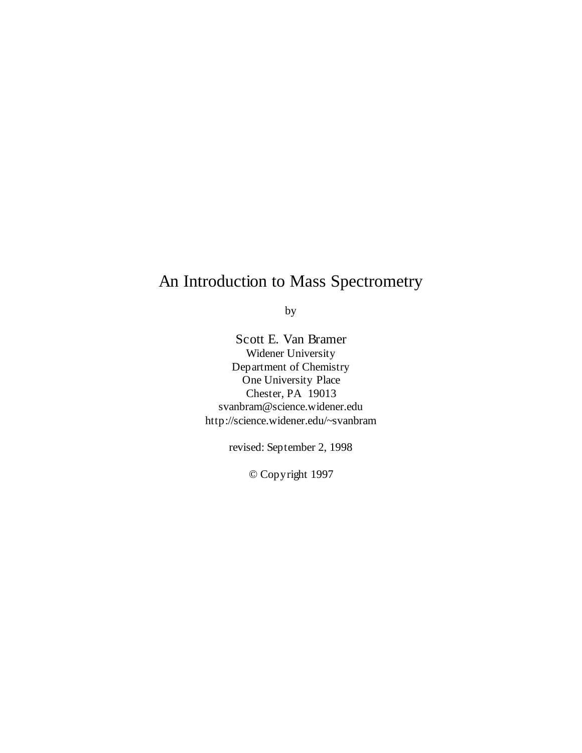# An Introduction to Mass Spectrometry

by

Scott E. Van Bramer Widener University Department of Chemistry One University Place Chester, PA 19013 svanbram@science.widener.edu http://science.widener.edu/~svanbram

revised: September 2, 1998

© Copyright 1997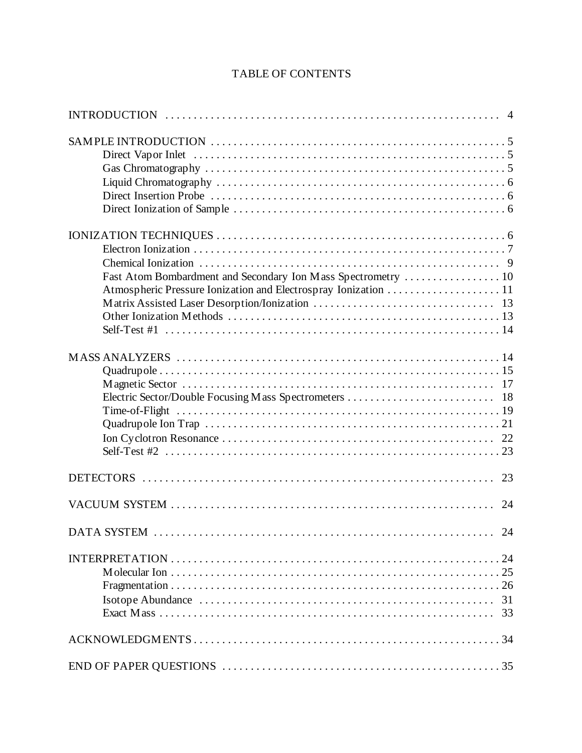# **TABLE OF CONTENTS**

| Fast Atom Bombardment and Secondary Ion Mass Spectrometry  10 |    |
|---------------------------------------------------------------|----|
|                                                               |    |
|                                                               | 23 |
|                                                               | 24 |
| <b>DATA SYSTEM</b>                                            | 24 |
|                                                               | 31 |
|                                                               |    |
|                                                               |    |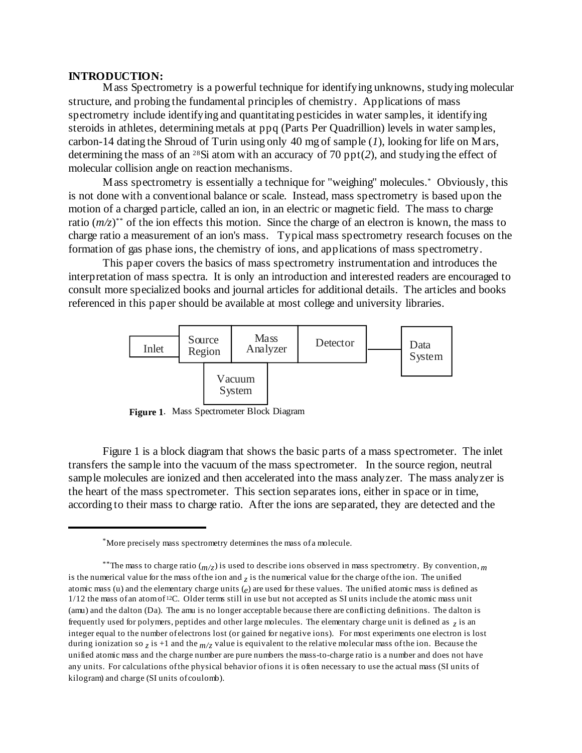#### **INTRODUCTION:**

Mass Spectrometry is a powerful technique for identifying unknowns, studying molecular structure, and probing the fundamental principles of chemistry. Applications of mass spectrometry include identifying and quantitating pesticides in water samples, it identifying steroids in athletes, determining metals at ppq (Parts Per Quadrillion) levels in water samples, carbon-14 dating the Shroud of Turin using only 40 mg of sample (*1*), looking for life on Mars, determining the mass of an <sup>28</sup>Si atom with an accuracy of 70 ppt(2), and studying the effect of molecular collision angle on reaction mechanisms.

Mass spectrometry is essentially a technique for "weighing" molecules. "Obviously, this is not done with a conventional balance or scale. Instead, mass spectrometry is based upon the motion of a charged particle, called an ion, in an electric or magnetic field. The mass to charge ratio  $(m/z)^{**}$  of the ion effects this motion. Since the charge of an electron is known, the mass to charge ratio a measurement of an ion's mass. Typical mass spectrometry research focuses on the formation of gas phase ions, the chemistry of ions, and applications of mass spectrometry.

This paper covers the basics of mass spectrometry instrumentation and introduces the interpretation of mass spectra. It is only an introduction and interested readers are encouraged to consult more specialized books and journal articles for additional details. The articles and books referenced in this paper should be available at most college and university libraries.



**Figure 1**. Mass Spectrometer Block Diagram

Figure 1 is a block diagram that shows the basic parts of a mass spectrometer. The inlet transfers the sample into the vacuum of the mass spectrometer. In the source region, neutral sample molecules are ionized and then accelerated into the mass analyzer. The mass analyzer is the heart of the mass spectrometer. This section separates ions, either in space or in time, according to their mass to charge ratio. After the ions are separated, they are detected and the

More precisely mass spectrometry determines the mass of a molecule. \*

<sup>&</sup>lt;sup>\*\*</sup>The mass to charge ratio  $\binom{m}{7}$  is used to describe ions observed in mass spectrometry. By convention, *m* is the numerical value for the mass of the ion and  $\tau$  is the numerical value for the charge of the ion. The unified atomic mass (u) and the elementary charge units (*e*) are used for these values. The unified atomic mass is defined as  $1/12$  the mass of an atom of <sup>12</sup>C. Older terms still in use but not accepted as SI units include the atomic mass unit (amu) and the dalton (Da). The amu is no longer acceptable because there are conflicting definitions. The dalton is frequently used for polymers, peptides and other large molecules. The elementary charge unit is defined as *z* is an integer equal to the number of electrons lost (or gained for negative ions). For most experiments one electron is lost during ionization so  $_7$  is +1 and the  $m/z$  value is equivalent to the relative molecular mass of the ion. Because the unified atomic mass and the charge number are pure numbers the mass-to-charge ratio is a number and does not have any units. For calculations of the physical behavior of ions it is often necessary to use the actual mass (SI units of kilogram) and charge (SI units of coulomb).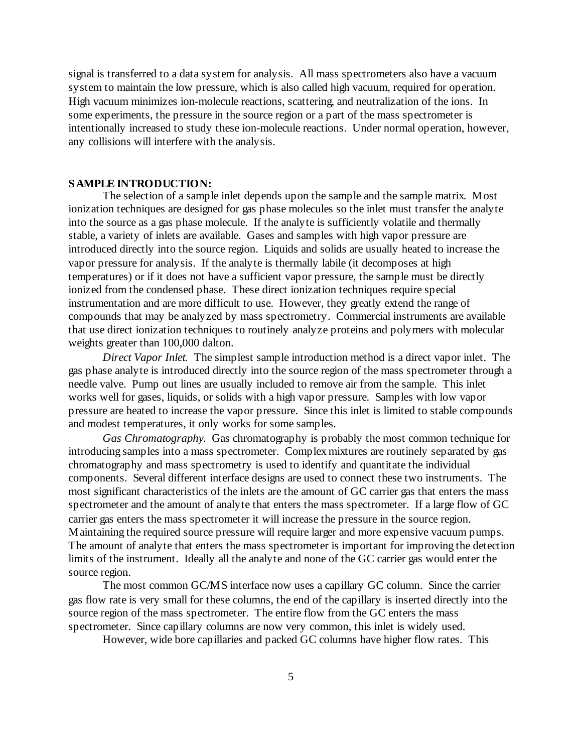signal is transferred to a data system for analysis. All mass spectrometers also have a vacuum system to maintain the low pressure, which is also called high vacuum, required for operation. High vacuum minimizes ion-molecule reactions, scattering, and neutralization of the ions. In some experiments, the pressure in the source region or a part of the mass spectrometer is intentionally increased to study these ion-molecule reactions. Under normal operation, however, any collisions will interfere with the analysis.

## **SAMPLE INTRODUCTION:**

The selection of a sample inlet depends upon the sample and the sample matrix. Most ionization techniques are designed for gas phase molecules so the inlet must transfer the analyte into the source as a gas phase molecule. If the analyte is sufficiently volatile and thermally stable, a variety of inlets are available. Gases and samples with high vapor pressure are introduced directly into the source region. Liquids and solids are usually heated to increase the vapor pressure for analysis. If the analyte is thermally labile (it decomposes at high temperatures) or if it does not have a sufficient vapor pressure, the sample must be directly ionized from the condensed phase. These direct ionization techniques require special instrumentation and are more difficult to use. However, they greatly extend the range of compounds that may be analyzed by mass spectrometry. Commercial instruments are available that use direct ionization techniques to routinely analyze proteins and polymers with molecular weights greater than 100,000 dalton.

*Direct Vapor Inlet.* The simplest sample introduction method is a direct vapor inlet. The gas phase analyte is introduced directly into the source region of the mass spectrometer through a needle valve. Pump out lines are usually included to remove air from the sample. This inlet works well for gases, liquids, or solids with a high vapor pressure. Samples with low vapor pressure are heated to increase the vapor pressure. Since this inlet is limited to stable compounds and modest temperatures, it only works for some samples.

*Gas Chromatography.* Gas chromatography is probably the most common technique for introducing samples into a mass spectrometer. Complex mixtures are routinely separated by gas chromatography and mass spectrometry is used to identify and quantitate the individual components. Several different interface designs are used to connect these two instruments. The most significant characteristics of the inlets are the amount of GC carrier gas that enters the mass spectrometer and the amount of analyte that enters the mass spectrometer. If a large flow of GC carrier gas enters the mass spectrometer it will increase the pressure in the source region. Maintaining the required source pressure will require larger and more expensive vacuum pumps. The amount of analyte that enters the mass spectrometer is important for improving the detection limits of the instrument. Ideally all the analyte and none of the GC carrier gas would enter the source region.

The most common GC/MS interface now uses a capillary GC column. Since the carrier gas flow rate is very small for these columns, the end of the capillary is inserted directly into the source region of the mass spectrometer. The entire flow from the GC enters the mass spectrometer. Since capillary columns are now very common, this inlet is widely used.

However, wide bore capillaries and packed GC columns have higher flow rates. This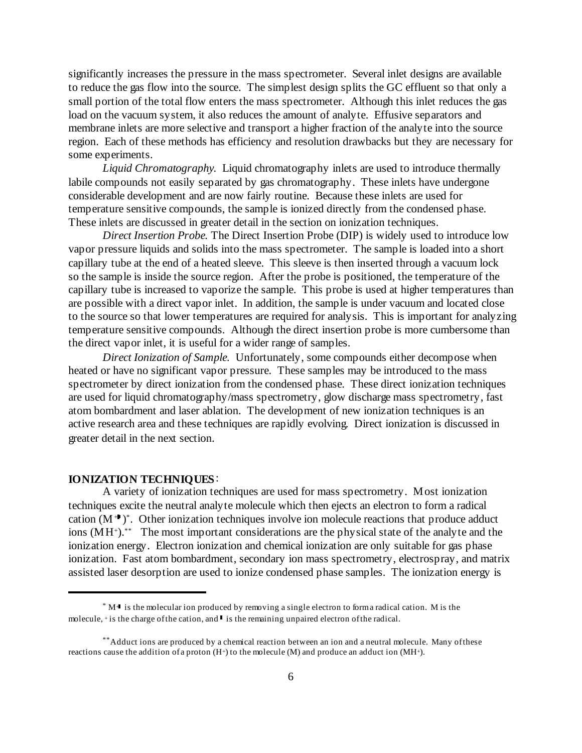significantly increases the pressure in the mass spectrometer. Several inlet designs are available to reduce the gas flow into the source. The simplest design splits the GC effluent so that only a small portion of the total flow enters the mass spectrometer. Although this inlet reduces the gas load on the vacuum system, it also reduces the amount of analyte. Effusive separators and membrane inlets are more selective and transport a higher fraction of the analyte into the source region. Each of these methods has efficiency and resolution drawbacks but they are necessary for some experiments.

*Liquid Chromatography.* Liquid chromatography inlets are used to introduce thermally labile compounds not easily separated by gas chromatography. These inlets have undergone considerable development and are now fairly routine. Because these inlets are used for temperature sensitive compounds, the sample is ionized directly from the condensed phase. These inlets are discussed in greater detail in the section on ionization techniques.

*Direct Insertion Probe.* The Direct Insertion Probe (DIP) is widely used to introduce low vapor pressure liquids and solids into the mass spectrometer. The sample is loaded into a short capillary tube at the end of a heated sleeve. This sleeve is then inserted through a vacuum lock so the sample is inside the source region. After the probe is positioned, the temperature of the capillary tube is increased to vaporize the sample. This probe is used at higher temperatures than are possible with a direct vapor inlet. In addition, the sample is under vacuum and located close to the source so that lower temperatures are required for analysis. This is important for analyzing temperature sensitive compounds. Although the direct insertion probe is more cumbersome than the direct vapor inlet, it is useful for a wider range of samples.

*Direct Ionization of Sample.* Unfortunately, some compounds either decompose when heated or have no significant vapor pressure. These samples may be introduced to the mass spectrometer by direct ionization from the condensed phase. These direct ionization techniques are used for liquid chromatography/mass spectrometry, glow discharge mass spectrometry, fast atom bombardment and laser ablation. The development of new ionization techniques is an active research area and these techniques are rapidly evolving. Direct ionization is discussed in greater detail in the next section.

#### **IONIZATION TECHNIQUES**:

A variety of ionization techniques are used for mass spectrometry. Most ionization techniques excite the neutral analyte molecule which then ejects an electron to form a radical cation  $(M^+)^*$ . Other ionization techniques involve ion molecule reactions that produce adduct ions  $(MH<sup>+</sup>)$ <sup>\*\*</sup> The most important considerations are the physical state of the analyte and the ionization energy. Electron ionization and chemical ionization are only suitable for gas phase ionization. Fast atom bombardment, secondary ion mass spectrometry, electrospray, and matrix assisted laser desorption are used to ionize condensed phase samples. The ionization energy is

 $*$  M $\cdot$  is the molecular ion produced by removing a single electron to form a radical cation. M is the molecule,  $\pm$  is the charge of the cation, and  $\perp$  is the remaining unpaired electron of the radical.

<sup>\*\*</sup> Adduct ions are produced by a chemical reaction between an ion and a neutral molecule. Many of these reactions cause the addition of a proton  $(H<sup>+</sup>)$  to the molecule  $(M)$  and produce an adduct ion  $(MH<sup>+</sup>)$ .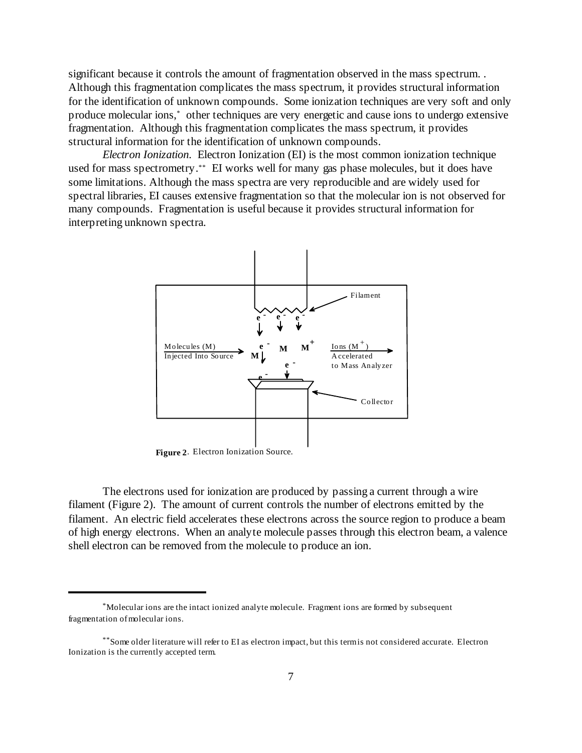significant because it controls the amount of fragmentation observed in the mass spectrum. . Although this fragmentation complicates the mass spectrum, it provides structural information for the identification of unknown compounds. Some ionization techniques are very soft and only produce molecular ions,<sup>\*</sup> other techniques are very energetic and cause ions to undergo extensive fragmentation. Although this fragmentation complicates the mass spectrum, it provides structural information for the identification of unknown compounds.

*Electron Ionization.* Electron Ionization (EI) is the most common ionization technique used for mass spectrometry.<sup>\*\*</sup> EI works well for many gas phase molecules, but it does have some limitations. Although the mass spectra are very reproducible and are widely used for spectral libraries, EI causes extensive fragmentation so that the molecular ion is not observed for many compounds. Fragmentation is useful because it provides structural information for interpreting unknown spectra.



**Figure 2**. Electron Ionization Source.

The electrons used for ionization are produced by passing a current through a wire filament (Figure 2). The amount of current controls the number of electrons emitted by the filament. An electric field accelerates these electrons across the source region to produce a beam of high energy electrons. When an analyte molecule passes through this electron beam, a valence shell electron can be removed from the molecule to produce an ion.

Molecular ions are the intact ionized analyte molecule. Fragment ions are formed by subsequent \* fragmentation of molecular ions.

<sup>\*\*</sup> Some older literature will refer to EI as electron impact, but this term is not considered accurate. Electron Ionization is the currently accepted term.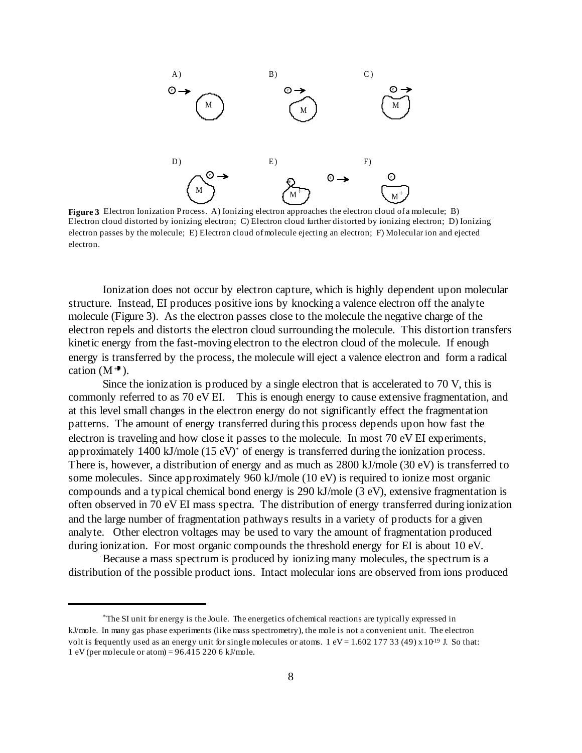

**Figure 3** Electron Ionization Process. A) Ionizing electron approaches the electron cloud of a molecule; B) Electron cloud distorted by ionizing electron; C) Electron cloud further distorted by ionizing electron; D) Ionizing electron passes by the molecule; E) Electron cloud of molecule ejecting an electron; F) Molecular ion and ejected electron.

Ionization does not occur by electron capture, which is highly dependent upon molecular structure. Instead, EI produces positive ions by knocking a valence electron off the analyte molecule (Figure 3). As the electron passes close to the molecule the negative charge of the electron repels and distorts the electron cloud surrounding the molecule. This distortion transfers kinetic energy from the fast-moving electron to the electron cloud of the molecule. If enough energy is transferred by the process, the molecule will eject a valence electron and form a radical cation  $(M^+ )$ .

Since the ionization is produced by a single electron that is accelerated to 70 V, this is commonly referred to as 70 eV EI. This is enough energy to cause extensive fragmentation, and at this level small changes in the electron energy do not significantly effect the fragmentation patterns. The amount of energy transferred during this process depends upon how fast the electron is traveling and how close it passes to the molecule. In most 70 eV EI experiments, approximately  $1400 \text{ kJ/mole}$  (15 eV)<sup>\*</sup> of energy is transferred during the ionization process. There is, however, a distribution of energy and as much as 2800 kJ/mole (30 eV) is transferred to some molecules. Since approximately 960 kJ/mole (10 eV) is required to ionize most organic compounds and a typical chemical bond energy is 290 kJ/mole (3 eV), extensive fragmentation is often observed in 70 eV EI mass spectra. The distribution of energy transferred during ionization and the large number of fragmentation pathways results in a variety of products for a given analyte. Other electron voltages may be used to vary the amount of fragmentation produced during ionization. For most organic compounds the threshold energy for EI is about 10 eV.

Because a mass spectrum is produced by ionizing many molecules, the spectrum is a distribution of the possible product ions. Intact molecular ions are observed from ions produced

<sup>&</sup>lt;sup>\*</sup>The SI unit for energy is the Joule. The energetics of chemical reactions are typically expressed in kJ/mole. In many gas phase experiments (like mass spectrometry), the mole is not a convenient unit. The electron volt is frequently used as an energy unit for single molecules or atoms.  $1 eV = 1.602 177 33 (49) x 10<sup>19</sup> J.$  So that: 1 eV (per molecule or atom) =  $96.4152206 \text{ kJ/mole}$ .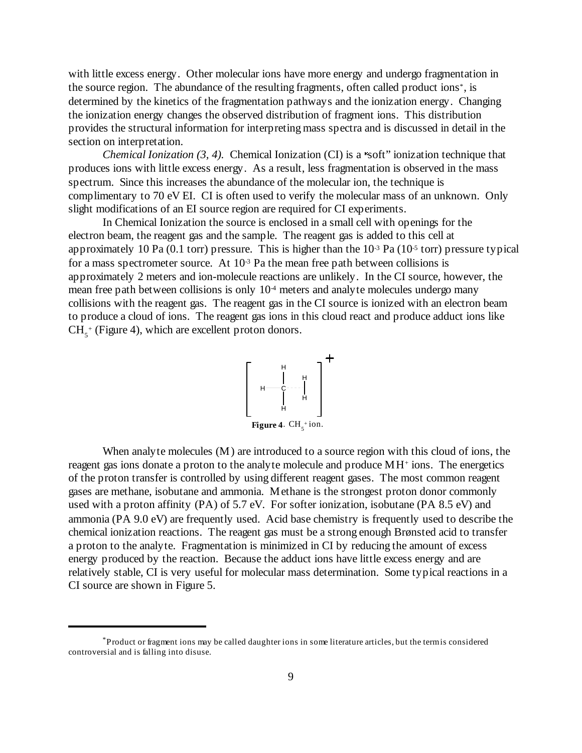with little excess energy. Other molecular ions have more energy and undergo fragmentation in the source region. The abundance of the resulting fragments, often called product ions<sup>\*</sup>, is determined by the kinetics of the fragmentation pathways and the ionization energy. Changing the ionization energy changes the observed distribution of fragment ions. This distribution provides the structural information for interpreting mass spectra and is discussed in detail in the section on interpretation.

*Chemical Ionization (3, 4).* Chemical Ionization (CI) is a 'soft' ionization technique that produces ions with little excess energy. As a result, less fragmentation is observed in the mass spectrum. Since this increases the abundance of the molecular ion, the technique is complimentary to 70 eV EI. CI is often used to verify the molecular mass of an unknown. Only slight modifications of an EI source region are required for CI experiments.

In Chemical Ionization the source is enclosed in a small cell with openings for the electron beam, the reagent gas and the sample. The reagent gas is added to this cell at approximately 10 Pa (0.1 torr) pressure. This is higher than the  $10<sup>-3</sup>$  Pa (10<sup>-5</sup> torr) pressure typical for a mass spectrometer source. At  $10<sup>3</sup>$  Pa the mean free path between collisions is approximately 2 meters and ion-molecule reactions are unlikely. In the CI source, however, the mean free path between collisions is only  $10<sup>4</sup>$  meters and analyte molecules undergo many collisions with the reagent gas. The reagent gas in the CI source is ionized with an electron beam to produce a cloud of ions. The reagent gas ions in this cloud react and produce adduct ions like  $CH<sub>5</sub><sup>+</sup>$  (Figure 4), which are excellent proton donors.



When analyte molecules (M) are introduced to a source region with this cloud of ions, the reagent gas ions donate a proton to the analyte molecule and produce  $MH^+$  ions. The energetics of the proton transfer is controlled by using different reagent gases. The most common reagent gases are methane, isobutane and ammonia. Methane is the strongest proton donor commonly used with a proton affinity (PA) of 5.7 eV. For softer ionization, isobutane (PA 8.5 eV) and ammonia (PA 9.0 eV) are frequently used. Acid base chemistry is frequently used to describe the chemical ionization reactions. The reagent gas must be a strong enough Brønsted acid to transfer a proton to the analyte. Fragmentation is minimized in CI by reducing the amount of excess energy produced by the reaction. Because the adduct ions have little excess energy and are relatively stable, CI is very useful for molecular mass determination. Some typical reactions in a CI source are shown in Figure 5.

Product or fragment ions may be called daughter ions in some literature articles, but the term is considered \* controversial and is falling into disuse.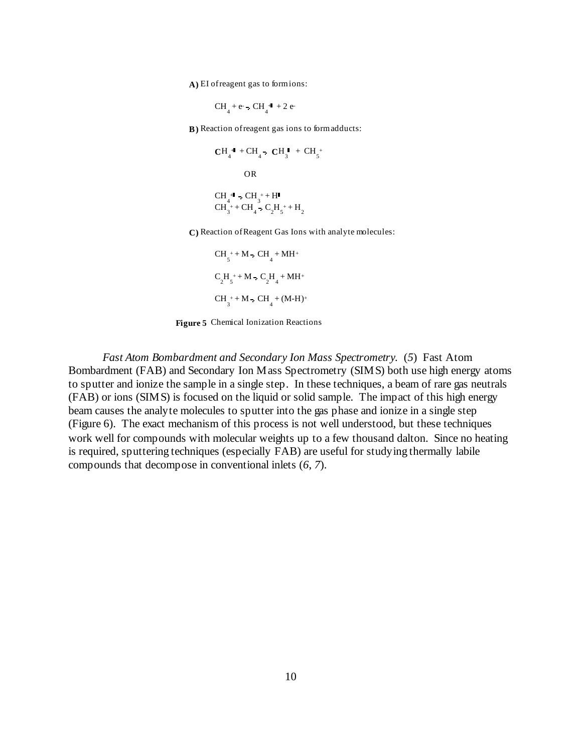A) EI of reagent gas to formions:

$$
CH_4 + e - CH_4 + 2e
$$

**B)** Reaction of reagent gas ions to form adducts:

$$
CH_4^{+1} + CH_4 \cdot CH_3^{+} + CH_5^{+}
$$
  
OR  
CH\_4^{+1} \cdot CH\_3^{+} + H<sup>1</sup>  
CH\_3^{+} + CH\_4^{+} \cdot C\_2H\_5^{+} + H\_2

**C)** Reaction of Reagent Gas Ions with analyte molecules:

$$
CH_{5}^{+} + M - CH_{4}^{+} + MH^{+}
$$
  
\n
$$
C_{2}H_{5}^{+} + M - C_{2}H_{4}^{+} + MH^{+}
$$
  
\n
$$
CH_{3}^{+} + M - CH_{4}^{+} + (M-H)^{+}
$$

**Figure 5** Chemical Ionization Reactions

*Fast Atom Bombardment and Secondary Ion Mass Spectrometry.* (*5*) Fast Atom Bombardment (FAB) and Secondary Ion Mass Spectrometry (SIMS) both use high energy atoms to sputter and ionize the sample in a single step. In these techniques, a beam of rare gas neutrals (FAB) or ions (SIMS) is focused on the liquid or solid sample. The impact of this high energy beam causes the analyte molecules to sputter into the gas phase and ionize in a single step (Figure 6). The exact mechanism of this process is not well understood, but these techniques work well for compounds with molecular weights up to a few thousand dalton. Since no heating is required, sputtering techniques (especially FAB) are useful for studying thermally labile compounds that decompose in conventional inlets (*6*, *7*).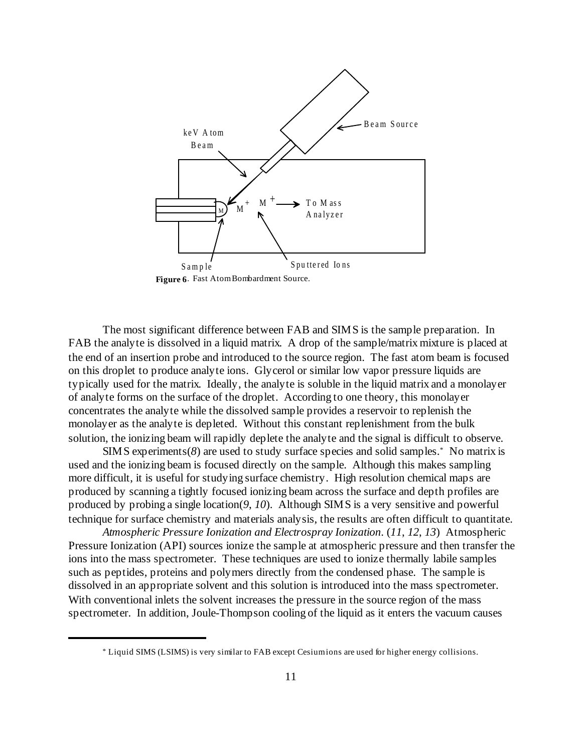

**Figure 6**. Fast Atom Bombardment Source.

The most significant difference between FAB and SIMS is the sample preparation. In FAB the analyte is dissolved in a liquid matrix. A drop of the sample/matrix mixture is placed at the end of an insertion probe and introduced to the source region. The fast atom beam is focused on this droplet to produce analyte ions. Glycerol or similar low vapor pressure liquids are typically used for the matrix. Ideally, the analyte is soluble in the liquid matrix and a monolayer of analyte forms on the surface of the droplet. According to one theory, this monolayer concentrates the analyte while the dissolved sample provides a reservoir to replenish the monolayer as the analyte is depleted. Without this constant replenishment from the bulk solution, the ionizing beam will rapidly deplete the analyte and the signal is difficult to observe.

 $SIMS$  experiments( $8$ ) are used to study surface species and solid samples.<sup>\*</sup> No matrix is used and the ionizing beam is focused directly on the sample. Although this makes sampling more difficult, it is useful for studying surface chemistry. High resolution chemical maps are produced by scanning a tightly focused ionizing beam across the surface and depth profiles are produced by probing a single location(*9*, *10*). Although SIMS is a very sensitive and powerful technique for surface chemistry and materials analysis, the results are often difficult to quantitate.

*Atmospheric Pressure Ionization and Electrospray Ionization*. (*11*, *12*, *13*) Atmospheric Pressure Ionization (API) sources ionize the sample at atmospheric pressure and then transfer the ions into the mass spectrometer. These techniques are used to ionize thermally labile samples such as peptides, proteins and polymers directly from the condensed phase. The sample is dissolved in an appropriate solvent and this solution is introduced into the mass spectrometer. With conventional inlets the solvent increases the pressure in the source region of the mass spectrometer. In addition, Joule-Thompson cooling of the liquid as it enters the vacuum causes

Liquid SIMS (LSIMS) is very similar to FAB except Cesium ions are used for higher energy collisions. \*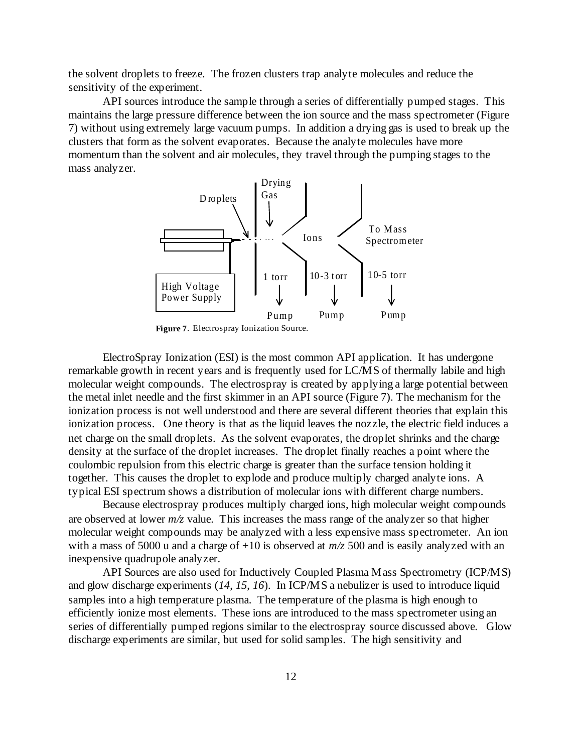the solvent droplets to freeze. The frozen clusters trap analyte molecules and reduce the sensitivity of the experiment.

API sources introduce the sample through a series of differentially pumped stages. This maintains the large pressure difference between the ion source and the mass spectrometer (Figure 7) without using extremely large vacuum pumps. In addition a drying gas is used to break up the clusters that form as the solvent evaporates. Because the analyte molecules have more momentum than the solvent and air molecules, they travel through the pumping stages to the mass analyzer.



**Figure 7**. Electrospray Ionization Source.

ElectroSpray Ionization (ESI) is the most common API application. It has undergone remarkable growth in recent years and is frequently used for LC/MS of thermally labile and high molecular weight compounds. The electrospray is created by applying a large potential between the metal inlet needle and the first skimmer in an API source (Figure 7). The mechanism for the ionization process is not well understood and there are several different theories that explain this ionization process. One theory is that as the liquid leaves the nozzle, the electric field induces a net charge on the small droplets. As the solvent evaporates, the droplet shrinks and the charge density at the surface of the droplet increases. The droplet finally reaches a point where the coulombic repulsion from this electric charge is greater than the surface tension holding it together. This causes the droplet to explode and produce multiply charged analyte ions. A typical ESI spectrum shows a distribution of molecular ions with different charge numbers.

Because electrospray produces multiply charged ions, high molecular weight compounds are observed at lower *m/z* value. This increases the mass range of the analyzer so that higher molecular weight compounds may be analyzed with a less expensive mass spectrometer. An ion with a mass of 5000 u and a charge of  $+10$  is observed at  $m/z$  500 and is easily analyzed with an inexpensive quadrupole analyzer.

API Sources are also used for Inductively Coupled Plasma Mass Spectrometry (ICP/MS) and glow discharge experiments (*14*, *15*, *16*). In ICP/MS a nebulizer is used to introduce liquid samples into a high temperature plasma. The temperature of the plasma is high enough to efficiently ionize most elements. These ions are introduced to the mass spectrometer using an series of differentially pumped regions similar to the electrospray source discussed above. Glow discharge experiments are similar, but used for solid samples. The high sensitivity and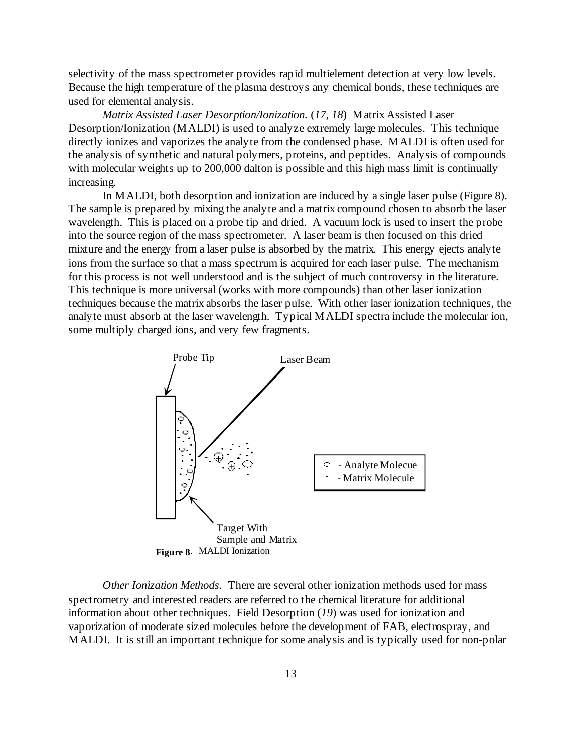selectivity of the mass spectrometer provides rapid multielement detection at very low levels. Because the high temperature of the plasma destroys any chemical bonds, these techniques are used for elemental analysis.

*Matrix Assisted Laser Desorption/Ionization.* (*17*, *18*) Matrix Assisted Laser Desorption/Ionization (MALDI) is used to analyze extremely large molecules. This technique directly ionizes and vaporizes the analyte from the condensed phase. MALDI is often used for the analysis of synthetic and natural polymers, proteins, and peptides. Analysis of compounds with molecular weights up to 200,000 dalton is possible and this high mass limit is continually increasing.

In MALDI, both desorption and ionization are induced by a single laser pulse (Figure 8). The sample is prepared by mixing the analyte and a matrix compound chosen to absorb the laser wavelength. This is placed on a probe tip and dried. A vacuum lock is used to insert the probe into the source region of the mass spectrometer. A laser beam is then focused on this dried mixture and the energy from a laser pulse is absorbed by the matrix. This energy ejects analyte ions from the surface so that a mass spectrum is acquired for each laser pulse. The mechanism for this process is not well understood and is the subject of much controversy in the literature. This technique is more universal (works with more compounds) than other laser ionization techniques because the matrix absorbs the laser pulse. With other laser ionization techniques, the analyte must absorb at the laser wavelength. Typical MALDI spectra include the molecular ion, some multiply charged ions, and very few fragments.



*Other Ionization Methods.* There are several other ionization methods used for mass spectrometry and interested readers are referred to the chemical literature for additional information about other techniques. Field Desorption (*19*) was used for ionization and vaporization of moderate sized molecules before the development of FAB, electrospray, and MALDI. It is still an important technique for some analysis and is typically used for non-polar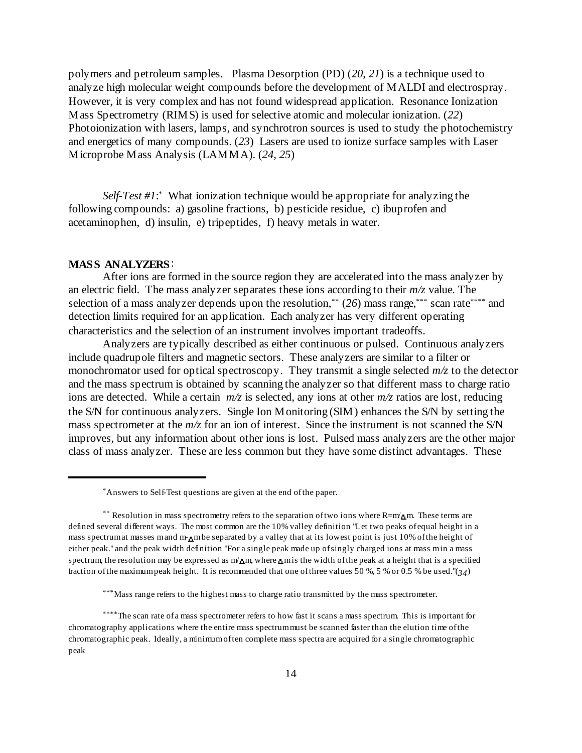polymers and petroleum samples. Plasma Desorption (PD) (*20*, *21*) is a technique used to analyze high molecular weight compounds before the development of MALDI and electrospray. However, it is very complex and has not found widespread application. Resonance Ionization Mass Spectrometry (RIMS) is used for selective atomic and molecular ionization. (*22*) Photoionization with lasers, lamps, and synchrotron sources is used to study the photochemistry and energetics of many compounds. (*23*) Lasers are used to ionize surface samples with Laser Microprobe Mass Analysis (LAMMA). (*24*, *25*)

*Self-Test #1*: What ionization technique would be appropriate for analyzing the following compounds: a) gasoline fractions, b) pesticide residue, c) ibuprofen and acetaminophen, d) insulin, e) tripeptides, f) heavy metals in water.

#### **MASS ANALYZERS**:

After ions are formed in the source region they are accelerated into the mass analyzer by an electric field. The mass analyzer separates these ions according to their *m/z* value. The selection of a mass analyzer depends upon the resolution,<sup>\*\*</sup> (26) mass range, \*\*\* scan rate \*\*\*\* and detection limits required for an application. Each analyzer has very different operating characteristics and the selection of an instrument involves important tradeoffs.

Analyzers are typically described as either continuous or pulsed. Continuous analyzers include quadrupole filters and magnetic sectors. These analyzers are similar to a filter or monochromator used for optical spectroscopy. They transmit a single selected *m/z* to the detector and the mass spectrum is obtained by scanning the analyzer so that different mass to charge ratio ions are detected. While a certain *m/z* is selected, any ions at other *m/z* ratios are lost, reducing the S/N for continuous analyzers. Single Ion Monitoring (SIM) enhances the S/N by setting the mass spectrometer at the *m/z* for an ion of interest. Since the instrument is not scanned the S/N improves, but any information about other ions is lost. Pulsed mass analyzers are the other major class of mass analyzer. These are less common but they have some distinct advantages. These

Answers to Self-Test questions are given at the end of the paper. \*

<sup>\*\*</sup> Resolution in mass spectrometry refers to the separation of two ions where  $R=m'_m$ . These terms are defined several different ways. The most common are the 10% valley definition "Let two peaks of equal height in a mass spectrum at masses m and m-m be separated by a valley that at its lowest point is just 10% of the height of either peak." and the peak width definition "For a single peak made up of singly charged ions at mass min a mass spectrum, the resolution may be expressed as  $m'_m$ , where  $\bar{m}$  is the width of the peak at a height that is a specified fraction of the maximum peak height. It is recommended that one of three values 50 %, 5 % or 0.5 % be used."(*34*)

<sup>\*\*\*</sup> Mass range refers to the highest mass to charge ratio transmitted by the mass spectrometer.

<sup>\*\*\*\*</sup>The scan rate of a mass spectrometer refers to how fast it scans a mass spectrum. This is important for chromatography applications where the entire mass spectrum must be scanned faster than the elution time of the chromatographic peak. Ideally, a minimum of ten complete mass spectra are acquired for a single chromatographic peak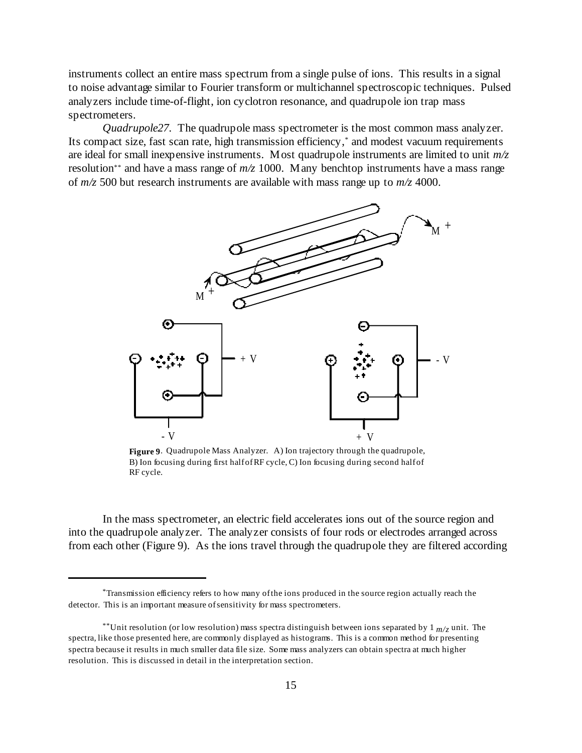instruments collect an entire mass spectrum from a single pulse of ions. This results in a signal to noise advantage similar to Fourier transform or multichannel spectroscopic techniques. Pulsed analyzers include time-of-flight, ion cyclotron resonance, and quadrupole ion trap mass spectrometers.

*Quadrupole27.* The quadrupole mass spectrometer is the most common mass analyzer. Its compact size, fast scan rate, high transmission efficiency,<sup>\*</sup> and modest vacuum requirements are ideal for small inexpensive instruments. Most quadrupole instruments are limited to unit *m/z* resolution<sup>\*\*</sup> and have a mass range of  $m/z$  1000. Many benchtop instruments have a mass range of *m/z* 500 but research instruments are available with mass range up to *m/z* 4000.



**Figure 9**. Quadrupole Mass Analyzer. A) Ion trajectory through the quadrupole, B) Ion focusing during first half of RF cycle, C) Ion focusing during second half of RF cycle.

In the mass spectrometer, an electric field accelerates ions out of the source region and into the quadrupole analyzer. The analyzer consists of four rods or electrodes arranged across from each other (Figure 9). As the ions travel through the quadrupole they are filtered according

Transmission efficiency refers to how many of the ions produced in the source region actually reach the \* detector. This is an important measure of sensitivity for mass spectrometers.

<sup>\*\*</sup>Unit resolution (or low resolution) mass spectra distinguish between ions separated by  $1_{m/z}$  unit. The spectra, like those presented here, are commonly displayed as histograms. This is a common method for presenting spectra because it results in much smaller data file size. Some mass analyzers can obtain spectra at much higher resolution. This is discussed in detail in the interpretation section.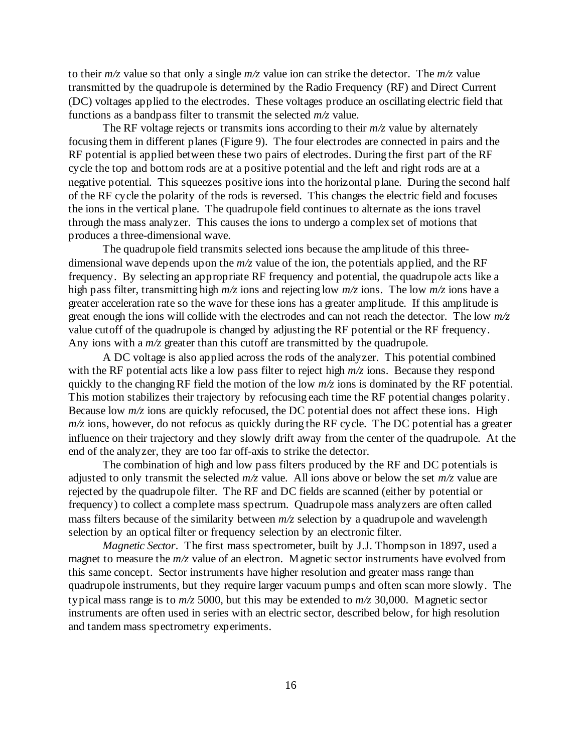to their  $m/z$  value so that only a single  $m/z$  value ion can strike the detector. The  $m/z$  value transmitted by the quadrupole is determined by the Radio Frequency (RF) and Direct Current (DC) voltages applied to the electrodes. These voltages produce an oscillating electric field that functions as a bandpass filter to transmit the selected *m/z* value.

The RF voltage rejects or transmits ions according to their  $m/z$  value by alternately focusing them in different planes (Figure 9). The four electrodes are connected in pairs and the RF potential is applied between these two pairs of electrodes. During the first part of the RF cycle the top and bottom rods are at a positive potential and the left and right rods are at a negative potential. This squeezes positive ions into the horizontal plane. During the second half of the RF cycle the polarity of the rods is reversed. This changes the electric field and focuses the ions in the vertical plane. The quadrupole field continues to alternate as the ions travel through the mass analyzer. This causes the ions to undergo a complex set of motions that produces a three-dimensional wave.

The quadrupole field transmits selected ions because the amplitude of this threedimensional wave depends upon the *m/z* value of the ion, the potentials applied, and the RF frequency. By selecting an appropriate RF frequency and potential, the quadrupole acts like a high pass filter, transmitting high *m/z* ions and rejecting low *m/z* ions. The low *m/z* ions have a greater acceleration rate so the wave for these ions has a greater amplitude. If this amplitude is great enough the ions will collide with the electrodes and can not reach the detector. The low *m/z* value cutoff of the quadrupole is changed by adjusting the RF potential or the RF frequency. Any ions with a  $m/z$  greater than this cutoff are transmitted by the quadrupole.

A DC voltage is also applied across the rods of the analyzer. This potential combined with the RF potential acts like a low pass filter to reject high  $m/z$  ions. Because they respond quickly to the changing RF field the motion of the low *m/z* ions is dominated by the RF potential. This motion stabilizes their trajectory by refocusing each time the RF potential changes polarity. Because low  $m/z$  ions are quickly refocused, the DC potential does not affect these ions. High  $m/z$  ions, however, do not refocus as quickly during the RF cycle. The DC potential has a greater influence on their trajectory and they slowly drift away from the center of the quadrupole. At the end of the analyzer, they are too far off-axis to strike the detector.

The combination of high and low pass filters produced by the RF and DC potentials is adjusted to only transmit the selected *m/z* value. All ions above or below the set *m/z* value are rejected by the quadrupole filter. The RF and DC fields are scanned (either by potential or frequency) to collect a complete mass spectrum. Quadrupole mass analyzers are often called mass filters because of the similarity between *m/z* selection by a quadrupole and wavelength selection by an optical filter or frequency selection by an electronic filter.

*Magnetic Sector.* The first mass spectrometer, built by J.J. Thompson in 1897, used a magnet to measure the  $m/z$  value of an electron. Magnetic sector instruments have evolved from this same concept. Sector instruments have higher resolution and greater mass range than quadrupole instruments, but they require larger vacuum pumps and often scan more slowly. The typical mass range is to *m/z* 5000, but this may be extended to *m/z* 30,000. Magnetic sector instruments are often used in series with an electric sector, described below, for high resolution and tandem mass spectrometry experiments.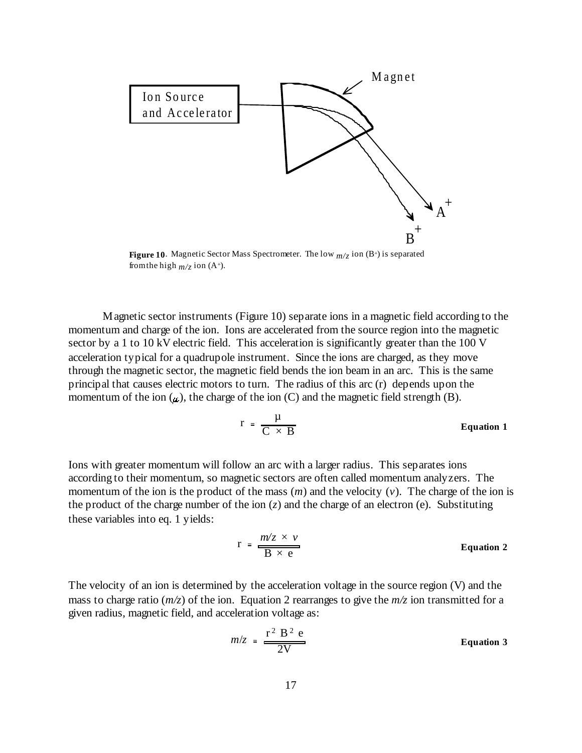

**Figure 10**. Magnetic Sector Mass Spectrometer. The low  $m/z$  ion  $(B^+)$  is separated from the high  $m/z$  ion (A<sup>+</sup>).

Magnetic sector instruments (Figure 10) separate ions in a magnetic field according to the momentum and charge of the ion. Ions are accelerated from the source region into the magnetic sector by a 1 to 10 kV electric field. This acceleration is significantly greater than the 100 V acceleration typical for a quadrupole instrument. Since the ions are charged, as they move through the magnetic sector, the magnetic field bends the ion beam in an arc. This is the same principal that causes electric motors to turn. The radius of this arc (r) depends upon the momentum of the ion  $(\mu)$ , the charge of the ion  $(C)$  and the magnetic field strength  $(B)$ .

$$
r = \frac{\mu}{C \times B}
$$
 Equation 1

Ions with greater momentum will follow an arc with a larger radius. This separates ions according to their momentum, so magnetic sectors are often called momentum analyzers. The momentum of the ion is the product of the mass (*m*) and the velocity (*v*). The charge of the ion is the product of the charge number of the ion  $(z)$  and the charge of an electron  $(e)$ . Substituting these variables into eq. 1 yields:

$$
r = \frac{m/z \times v}{B \times e}
$$
 Equation 2

The velocity of an ion is determined by the acceleration voltage in the source region (V) and the mass to charge ratio (*m/z*) of the ion. Equation 2 rearranges to give the *m/z* ion transmitted for a given radius, magnetic field, and acceleration voltage as:

$$
m/z = \frac{r^2 B^2 e}{2V}
$$
 Equation 3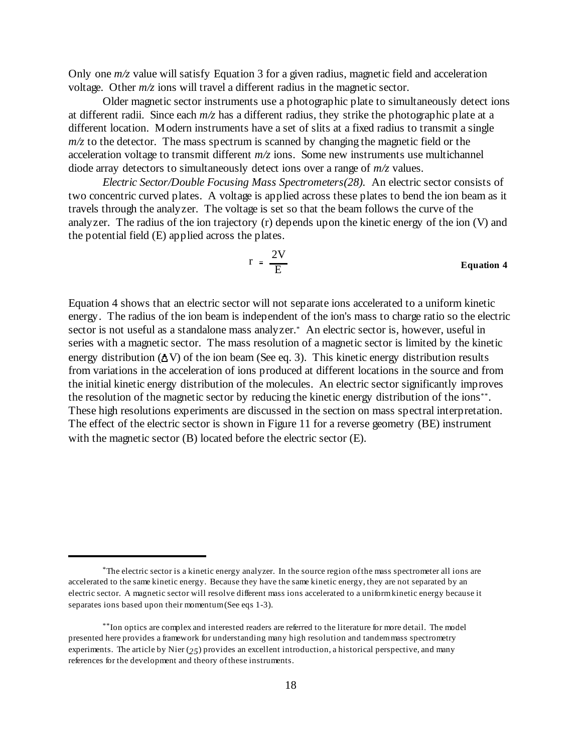Only one  $m/z$  value will satisfy Equation 3 for a given radius, magnetic field and acceleration voltage. Other *m/z* ions will travel a different radius in the magnetic sector.

Older magnetic sector instruments use a photographic plate to simultaneously detect ions at different radii. Since each *m/z* has a different radius, they strike the photographic plate at a different location. Modern instruments have a set of slits at a fixed radius to transmit a single  $m/z$  to the detector. The mass spectrum is scanned by changing the magnetic field or the acceleration voltage to transmit different *m/z* ions. Some new instruments use multichannel diode array detectors to simultaneously detect ions over a range of *m/z* values.

*Electric Sector/Double Focusing Mass Spectrometers(28).* An electric sector consists of two concentric curved plates. A voltage is applied across these plates to bend the ion beam as it travels through the analyzer. The voltage is set so that the beam follows the curve of the analyzer. The radius of the ion trajectory (r) depends upon the kinetic energy of the ion (V) and the potential field (E) applied across the plates.

$$
r = \frac{2V}{E}
$$
 Equation 4

Equation 4 shows that an electric sector will not separate ions accelerated to a uniform kinetic energy. The radius of the ion beam is independent of the ion's mass to charge ratio so the electric sector is not useful as a standalone mass analyzer.\* An electric sector is, however, useful in series with a magnetic sector. The mass resolution of a magnetic sector is limited by the kinetic energy distribution ( $\Delta V$ ) of the ion beam (See eq. 3). This kinetic energy distribution results from variations in the acceleration of ions produced at different locations in the source and from the initial kinetic energy distribution of the molecules. An electric sector significantly improves the resolution of the magnetic sector by reducing the kinetic energy distribution of the ions<sup>\*\*</sup>. These high resolutions experiments are discussed in the section on mass spectral interpretation. The effect of the electric sector is shown in Figure 11 for a reverse geometry (BE) instrument with the magnetic sector (B) located before the electric sector (E).

 $*$ The electric sector is a kinetic energy analyzer. In the source region of the mass spectrometer all ions are accelerated to the same kinetic energy. Because they have the same kinetic energy, they are not separated by an electric sector. A magnetic sector will resolve different mass ions accelerated to a uniform kinetic energy because it separates ions based upon their momentum (See eqs 1-3).

<sup>\*\*</sup>Ion optics are complex and interested readers are referred to the literature for more detail. The model presented here provides a framework for understanding many high resolution and tandem mass spectrometry experiments. The article by Nier (*25*) provides an excellent introduction, a historical perspective, and many references for the development and theory of these instruments.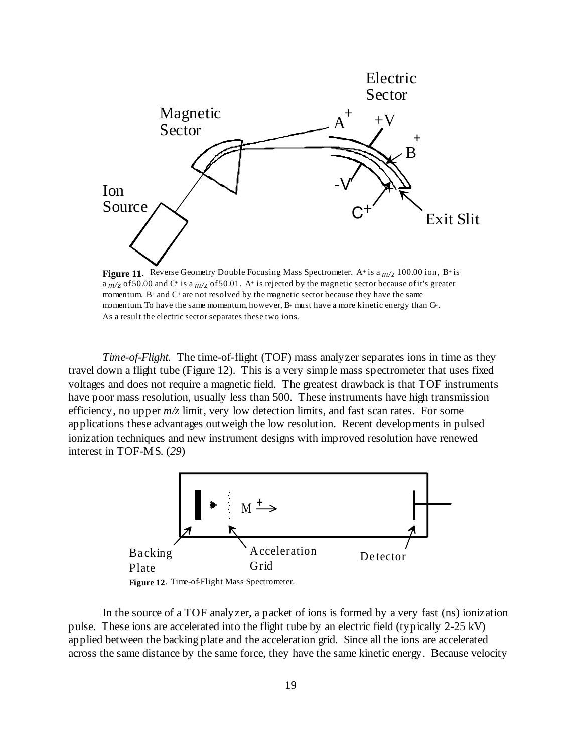

 $a_{m/z}$  of 50.00 and C<sup>+</sup> is a  $m/z$  of 50.01. A<sup>+</sup> is rejected by the magnetic sector because of it's greater momentum. B<sup>+</sup> and  $C$ <sup>+</sup> are not resolved by the magnetic sector because they have the same momentum. To have the same momentum, however,  $B<sup>+</sup>$  must have a more kinetic energy than  $C<sup>+</sup>$ . As a result the electric sector separates these two ions.

*Time-of-Flight.* The time-of-flight (TOF) mass analyzer separates ions in time as they travel down a flight tube (Figure 12). This is a very simple mass spectrometer that uses fixed voltages and does not require a magnetic field. The greatest drawback is that TOF instruments have poor mass resolution, usually less than 500. These instruments have high transmission efficiency, no upper *m/z* limit, very low detection limits, and fast scan rates. For some applications these advantages outweigh the low resolution. Recent developments in pulsed ionization techniques and new instrument designs with improved resolution have renewed interest in TOF-MS. (*29*)



In the source of a TOF analyzer, a packet of ions is formed by a very fast (ns) ionization pulse. These ions are accelerated into the flight tube by an electric field (typically 2-25 kV) applied between the backing plate and the acceleration grid. Since all the ions are accelerated across the same distance by the same force, they have the same kinetic energy. Because velocity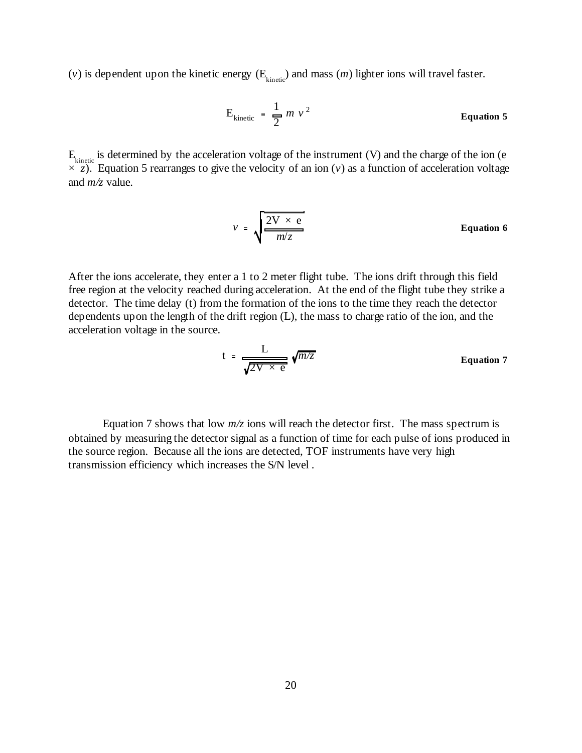(*v*) is dependent upon the kinetic energy  $(E_{\text{kincic}})$  and mass  $(m)$  lighter ions will travel faster.

$$
E_{\text{kinetic}} = \frac{1}{2} m v^2
$$
 **Equation 5**

 $E_{kinetic}$  is determined by the acceleration voltage of the instrument (V) and the charge of the ion (e  $\times$  *z*). Equation 5 rearranges to give the velocity of an ion (*v*) as a function of acceleration voltage and *m/z* value.

$$
v = \sqrt{\frac{2V \times e}{m/z}}
$$
 Equation 6

After the ions accelerate, they enter a 1 to 2 meter flight tube. The ions drift through this field free region at the velocity reached during acceleration. At the end of the flight tube they strike a detector. The time delay (t) from the formation of the ions to the time they reach the detector dependents upon the length of the drift region (L), the mass to charge ratio of the ion, and the acceleration voltage in the source.

$$
t = \frac{L}{\sqrt{2V \times e}} \sqrt{m/z}
$$
 Equation 7

Equation 7 shows that low  $m/z$  ions will reach the detector first. The mass spectrum is obtained by measuring the detector signal as a function of time for each pulse of ions produced in the source region. Because all the ions are detected, TOF instruments have very high transmission efficiency which increases the S/N level .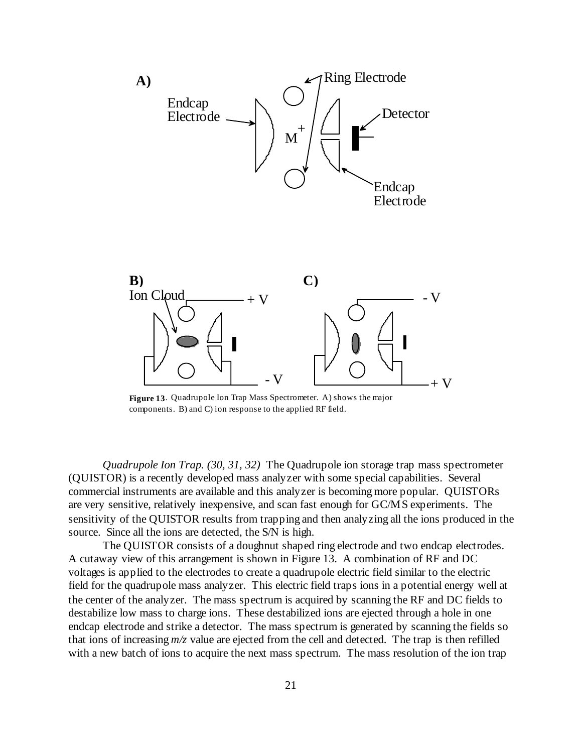

**Figure 13**. Quadrupole Ion Trap Mass Spectrometer. A) shows the major components. B) and C) ion response to the applied RF field.

*Quadrupole Ion Trap. (30, 31, 32)* The Quadrupole ion storage trap mass spectrometer (QUISTOR) is a recently developed mass analyzer with some special capabilities. Several commercial instruments are available and this analyzer is becoming more popular. QUISTORs are very sensitive, relatively inexpensive, and scan fast enough for GC/MS experiments. The sensitivity of the QUISTOR results from trapping and then analyzing all the ions produced in the source. Since all the ions are detected, the S/N is high.

The QUISTOR consists of a doughnut shaped ring electrode and two endcap electrodes. A cutaway view of this arrangement is shown in Figure 13. A combination of RF and DC voltages is applied to the electrodes to create a quadrupole electric field similar to the electric field for the quadrupole mass analyzer. This electric field traps ions in a potential energy well at the center of the analyzer. The mass spectrum is acquired by scanning the RF and DC fields to destabilize low mass to charge ions. These destabilized ions are ejected through a hole in one endcap electrode and strike a detector. The mass spectrum is generated by scanning the fields so that ions of increasing *m/z* value are ejected from the cell and detected. The trap is then refilled with a new batch of ions to acquire the next mass spectrum. The mass resolution of the ion trap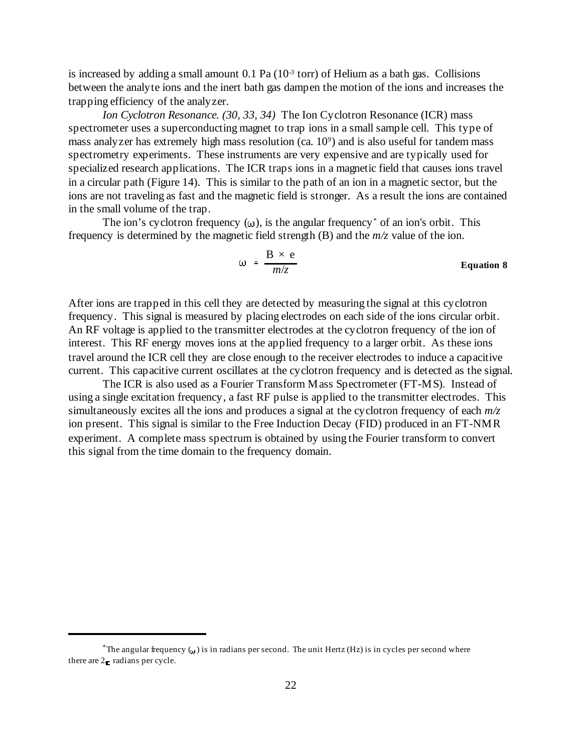is increased by adding a small amount  $0.1$  Pa ( $10<sup>3</sup>$  torr) of Helium as a bath gas. Collisions between the analyte ions and the inert bath gas dampen the motion of the ions and increases the trapping efficiency of the analyzer.

*Ion Cyclotron Resonance. (30, 33, 34)* The Ion Cyclotron Resonance (ICR) mass spectrometer uses a superconducting magnet to trap ions in a small sample cell. This type of mass analyzer has extremely high mass resolution (ca.  $10^9$ ) and is also useful for tandem mass spectrometry experiments. These instruments are very expensive and are typically used for specialized research applications. The ICR traps ions in a magnetic field that causes ions travel in a circular path (Figure 14). This is similar to the path of an ion in a magnetic sector, but the ions are not traveling as fast and the magnetic field is stronger. As a result the ions are contained in the small volume of the trap.

The ion's cyclotron frequency  $(\omega)$ , is the angular frequency<sup>\*</sup> of an ion's orbit. This frequency is determined by the magnetic field strength (B) and the *m/z* value of the ion.

$$
\omega = \frac{B \times e}{m/z}
$$
 Equation 8

After ions are trapped in this cell they are detected by measuring the signal at this cyclotron frequency. This signal is measured by placing electrodes on each side of the ions circular orbit. An RF voltage is applied to the transmitter electrodes at the cyclotron frequency of the ion of interest. This RF energy moves ions at the applied frequency to a larger orbit. As these ions travel around the ICR cell they are close enough to the receiver electrodes to induce a capacitive current. This capacitive current oscillates at the cyclotron frequency and is detected as the signal.

The ICR is also used as a Fourier Transform Mass Spectrometer (FT-MS). Instead of using a single excitation frequency, a fast RF pulse is applied to the transmitter electrodes. This simultaneously excites all the ions and produces a signal at the cyclotron frequency of each *m/z* ion present. This signal is similar to the Free Induction Decay (FID) produced in an FT-NMR experiment. A complete mass spectrum is obtained by using the Fourier transform to convert this signal from the time domain to the frequency domain.

<sup>\*</sup>The angular frequency  $\binom{n}{k}$  is in radians per second. The unit Hertz (Hz) is in cycles per second where there are 2 - radians per cycle.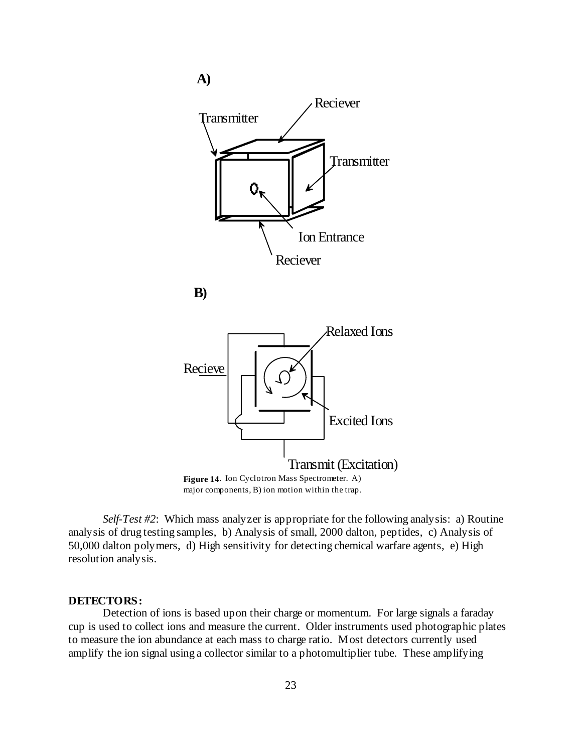

**B)**



*Self-Test #2*: Which mass analyzer is appropriate for the following analysis: a) Routine analysis of drug testing samples, b) Analysis of small, 2000 dalton, peptides, c) Analysis of 50,000 dalton polymers, d) High sensitivity for detecting chemical warfare agents, e) High resolution analysis.

#### **DETECTORS:**

Detection of ions is based upon their charge or momentum. For large signals a faraday cup is used to collect ions and measure the current. Older instruments used photographic plates to measure the ion abundance at each mass to charge ratio. Most detectors currently used amplify the ion signal using a collector similar to a photomultiplier tube. These amplifying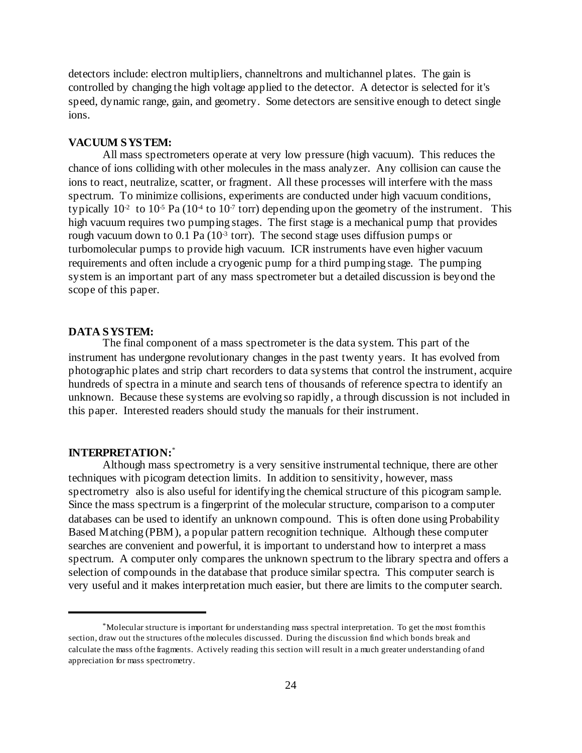detectors include: electron multipliers, channeltrons and multichannel plates. The gain is controlled by changing the high voltage applied to the detector. A detector is selected for it's speed, dynamic range, gain, and geometry. Some detectors are sensitive enough to detect single ions.

# **VACUUM SYSTEM:**

All mass spectrometers operate at very low pressure (high vacuum). This reduces the chance of ions colliding with other molecules in the mass analyzer. Any collision can cause the ions to react, neutralize, scatter, or fragment. All these processes will interfere with the mass spectrum. To minimize collisions, experiments are conducted under high vacuum conditions, typically  $10<sup>2</sup>$  to  $10<sup>5</sup>$  Pa ( $10<sup>4</sup>$  to  $10<sup>7</sup>$  torr) depending upon the geometry of the instrument. This high vacuum requires two pumping stages. The first stage is a mechanical pump that provides rough vacuum down to 0.1 Pa ( $10<sup>3</sup>$  torr). The second stage uses diffusion pumps or turbomolecular pumps to provide high vacuum. ICR instruments have even higher vacuum requirements and often include a cryogenic pump for a third pumping stage. The pumping system is an important part of any mass spectrometer but a detailed discussion is beyond the scope of this paper.

#### **DATA SYSTEM:**

The final component of a mass spectrometer is the data system. This part of the instrument has undergone revolutionary changes in the past twenty years. It has evolved from photographic plates and strip chart recorders to data systems that control the instrument, acquire hundreds of spectra in a minute and search tens of thousands of reference spectra to identify an unknown. Because these systems are evolving so rapidly, a through discussion is not included in this paper. Interested readers should study the manuals for their instrument.

#### **INTERPRETATION:**\*

Although mass spectrometry is a very sensitive instrumental technique, there are other techniques with picogram detection limits. In addition to sensitivity, however, mass spectrometry also is also useful for identifying the chemical structure of this picogram sample. Since the mass spectrum is a fingerprint of the molecular structure, comparison to a computer databases can be used to identify an unknown compound. This is often done using Probability Based Matching (PBM), a popular pattern recognition technique. Although these computer searches are convenient and powerful, it is important to understand how to interpret a mass spectrum. A computer only compares the unknown spectrum to the library spectra and offers a selection of compounds in the database that produce similar spectra. This computer search is very useful and it makes interpretation much easier, but there are limits to the computer search.

<sup>&</sup>lt;sup>\*</sup>Molecular structure is important for understanding mass spectral interpretation. To get the most from this section, draw out the structures of the molecules discussed. During the discussion find which bonds break and calculate the mass of the fragments. Actively reading this section will result in a much greater understanding of and appreciation for mass spectrometry.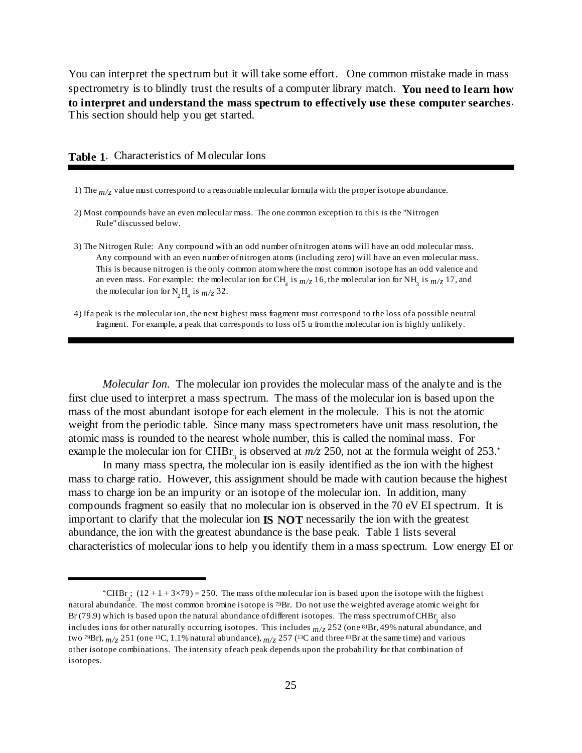You can interpret the spectrum but it will take some effort. One common mistake made in mass spectrometry is to blindly trust the results of a computer library match. **You need to learn how to interpret and understand the mass spectrum to effectively use these computer searches**. This section should help you get started.

### **Table 1**. Characteristics of Molecular Ions

- 1) The *m/z* value must correspond to a reasonable molecular formula with the proper isotope abundance.
- 2) Most compounds have an even molecular mass. The one common exception to this is the "Nitrogen Rule" discussed below.
- 3) The Nitrogen Rule: Any compound with an odd number of nitrogen atoms will have an odd molecular mass. Any compound with an even number of nitrogen atoms (including zero) will have an even molecular mass. This is because nitrogen is the only common atom where the most common isotope has an odd valence and an even mass. For example: the molecular ion for CH<sub>4</sub> is  $m/z$  16, the molecular ion for NH<sub>3</sub> is  $m/z$  17, and the molecular ion for N<sub>2</sub>H<sub>4</sub> is  $m/z$  32.
- 4) If a peak is the molecular ion, the next highest mass fragment must correspond to the loss of a possible neutral fragment. For example, a peak that corresponds to loss of 5 u from the molecular ion is highly unlikely.

*Molecular Ion.* The molecular ion provides the molecular mass of the analyte and is the first clue used to interpret a mass spectrum. The mass of the molecular ion is based upon the mass of the most abundant isotope for each element in the molecule. This is not the atomic weight from the periodic table. Since many mass spectrometers have unit mass resolution, the atomic mass is rounded to the nearest whole number, this is called the nominal mass. For example the molecular ion for CHBr<sub>3</sub> is observed at  $m/z$  250, not at the formula weight of 253. $^*$ 

In many mass spectra, the molecular ion is easily identified as the ion with the highest mass to charge ratio. However, this assignment should be made with caution because the highest mass to charge ion be an impurity or an isotope of the molecular ion. In addition, many compounds fragment so easily that no molecular ion is observed in the 70 eV EI spectrum. It is important to clarify that the molecular ion **IS NOT** necessarily the ion with the greatest abundance, the ion with the greatest abundance is the base peak. Table 1 lists several characteristics of molecular ions to help you identify them in a mass spectrum. Low energy EI or

<sup>\*</sup>CHBr ;  $(12 + 1 + 3 \times 79) = 250$ . The mass of the molecular ion is based upon the isotope with the highest natural abundance. The most common bromine isotope is 79Br. Do not use the weighted average atomic weight for Br (79.9) which is based upon the natural abundance of different isotopes. The mass spectrum of CHBr also includes ions for other naturally occurring isotopes. This includes  $m/z$  252 (one 81Br, 49% natural abundance, and two <sup>79</sup>Br),  $m/z$  251 (one <sup>13</sup>C, 1.1% natural abundance),  $m/z$  257 (<sup>13</sup>C and three <sup>81</sup>Br at the same time) and various other isotope combinations. The intensity of each peak depends upon the probability for that combination of isotopes.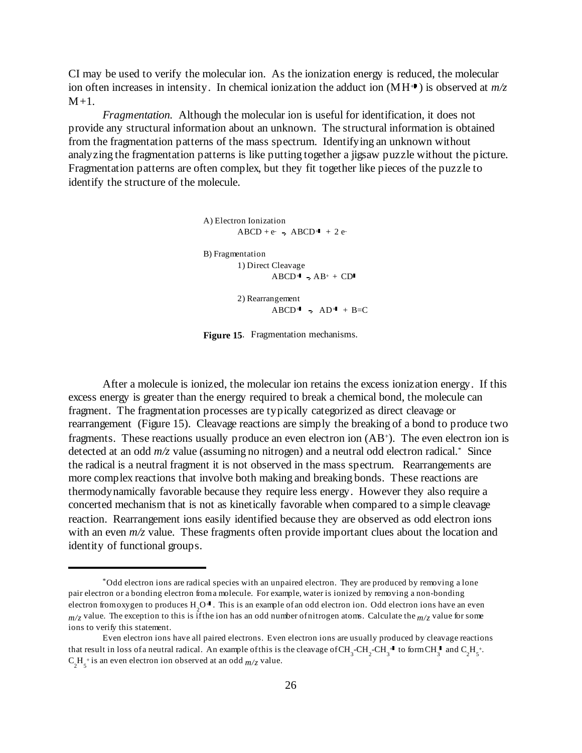CI may be used to verify the molecular ion. As the ionization energy is reduced, the molecular ion often increases in intensity. In chemical ionization the adduct ion  $(MH^+)$  is observed at  $m/z$  $M+1$ .

*Fragmentation.* Although the molecular ion is useful for identification, it does not provide any structural information about an unknown. The structural information is obtained from the fragmentation patterns of the mass spectrum. Identifying an unknown without analyzing the fragmentation patterns is like putting together a jigsaw puzzle without the picture. Fragmentation patterns are often complex, but they fit together like pieces of the puzzle to identify the structure of the molecule.

```
A) Electron Ionization
ABCD + e ABCD + 2eB) Fragmentation
 1) Direct Cleavage
       ABCD+ AB+ CD2) Rearrangement
       ABCD+ AD+ + B=C
```
**Figure 15**. Fragmentation mechanisms.

After a molecule is ionized, the molecular ion retains the excess ionization energy. If this excess energy is greater than the energy required to break a chemical bond, the molecule can fragment. The fragmentation processes are typically categorized as direct cleavage or rearrangement (Figure 15). Cleavage reactions are simply the breaking of a bond to produce two fragments. These reactions usually produce an even electron ion  $(AB^+)$ . The even electron ion is detected at an odd  $m/z$  value (assuming no nitrogen) and a neutral odd electron radical.<sup>\*</sup> Since the radical is a neutral fragment it is not observed in the mass spectrum. Rearrangements are more complex reactions that involve both making and breaking bonds. These reactions are thermodynamically favorable because they require less energy. However they also require a concerted mechanism that is not as kinetically favorable when compared to a simple cleavage reaction. Rearrangement ions easily identified because they are observed as odd electron ions with an even  $m/z$  value. These fragments often provide important clues about the location and identity of functional groups.

Odd electron ions are radical species with an unpaired electron. They are produced by removing a lone \* pair electron or a bonding electron from a molecule. For example, water is ionized by removing a non-bonding electron from oxygen to produces  $H_2O$ <sup>4</sup>. This is an example of an odd electron ion. Odd electron ions have an even  $m/z$  value. The exception to this is if the ion has an odd number of nitrogen atoms. Calculate the  $m/z$  value for some ions to verify this statement.

Even electron ions have all paired electrons. Even electron ions are usually produced by cleavage reactions that result in loss of a neutral radical. An example of this is the cleavage of CH<sub>3</sub>-CH<sub>2</sub>-CH<sub>3</sub><sup>+4</sup> to form CH<sub>3</sub><sup>+</sup> and C<sub>2</sub>H<sub>3</sub><sup>+</sup>.  $C_2H_5^{\dagger}$  is an even electron ion observed at an odd  $m/z$  value.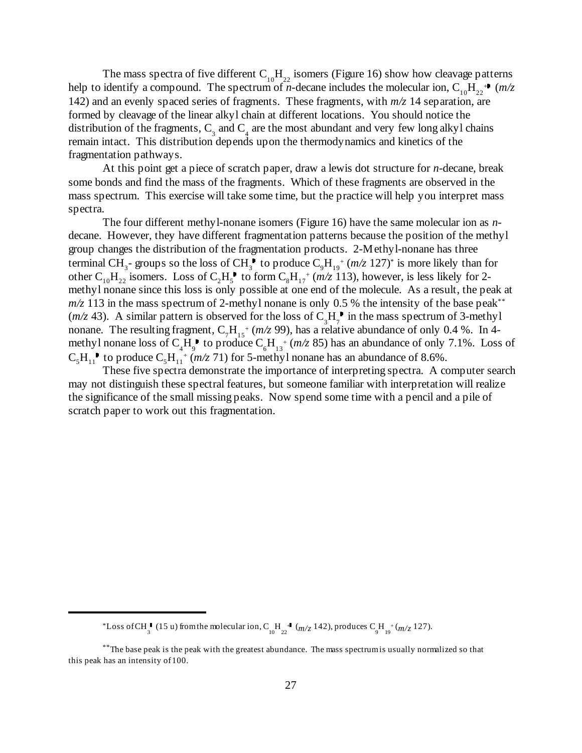The mass spectra of five different  $C_{10}H_{22}$  isomers (Figure 16) show how cleavage patterns help to identify a compound. The spectrum of *n*-decane includes the molecular ion,  $C_{10}H_{22}$ <sup>\*</sup> (*m/z* 142) and an evenly spaced series of fragments. These fragments, with *m/z* 14 separation, are formed by cleavage of the linear alkyl chain at different locations. You should notice the distribution of the fragments,  $C_3$  and  $C_4$  are the most abundant and very few long alkyl chains remain intact. This distribution depends upon the thermodynamics and kinetics of the fragmentation pathways.

At this point get a piece of scratch paper, draw a lewis dot structure for *n*-decane, break some bonds and find the mass of the fragments. Which of these fragments are observed in the mass spectrum. This exercise will take some time, but the practice will help you interpret mass spectra.

The four different methyl-nonane isomers (Figure 16) have the same molecular ion as *n*decane. However, they have different fragmentation patterns because the position of the methyl group changes the distribution of the fragmentation products. 2-Methyl-nonane has three terminal  $CH_3$ - groups so the loss of  $CH_3^{\bullet}$  to produce  $C_9H_{19}^+$  ( $m/z$  127)<sup>\*</sup> is more likely than for other  $C_{10}H_{22}$  isomers. Loss of  $C_2H_s^{\bullet}$  to form  $C_8H_{17}^+(m/z\ 113)$ , however, is less likely for 2methyl nonane since this loss is only possible at one end of the molecule. As a result, the peak at  $m/z$  113 in the mass spectrum of 2-methyl nonane is only 0.5 % the intensity of the base peak<sup>\*\*</sup>  $(m/z 43)$ . A similar pattern is observed for the loss of  $C_3H_7^{\bullet}$  in the mass spectrum of 3-methyl nonane. The resulting fragment,  $C_7H_{15}$ <sup>+</sup> ( $m/z$  99), has a relative abundance of only 0.4 %. In 4methyl nonane loss of  $C_4H_9^{\bullet}$  to produce  $C_6H_{13}^{\bullet}$  ( $m/z$  85) has an abundance of only 7.1%. Loss of  $C_5H_{11}$  to produce  $C_5H_{11}^{4}$  ( $m/z$  71) for 5-methyl nonane has an abundance of 8.6%.

These five spectra demonstrate the importance of interpreting spectra. A computer search may not distinguish these spectral features, but someone familiar with interpretation will realize the significance of the small missing peaks. Now spend some time with a pencil and a pile of scratch paper to work out this fragmentation.

<sup>\*</sup>Loss of CH $_3$  (15 u) from the molecular ion, C<sub>10</sub><sup>H</sup> ( $m/z$  142), produces C<sub>9</sub><sup>H</sup><sub>19</sub><sup>+</sup>( $m/z$  127).

 $*$ The base peak is the peak with the greatest abundance. The mass spectrum is usually normalized so that this peak has an intensity of 100.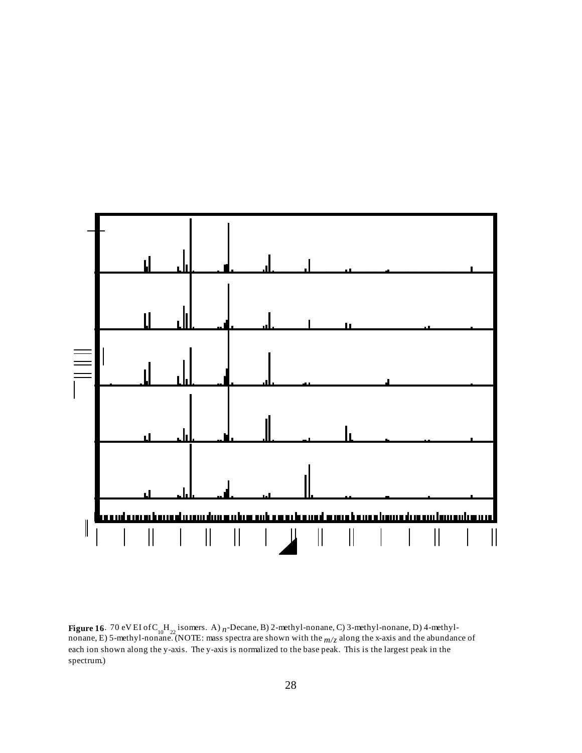

**Figure 16**. 70 eV EI of C<sub>10</sub>H<sub>22</sub> isomers. A)  $n$ -Decane, B) 2-methyl-nonane, C) 3-methyl-nonane, D) 4-methylnonane, E) 5-methyl-nonane. (NOTE: mass spectra are shown with the *m/z* along the x-axis and the abundance of each ion shown along the y-axis. The y-axis is normalized to the base peak. This is the largest peak in the spectrum.)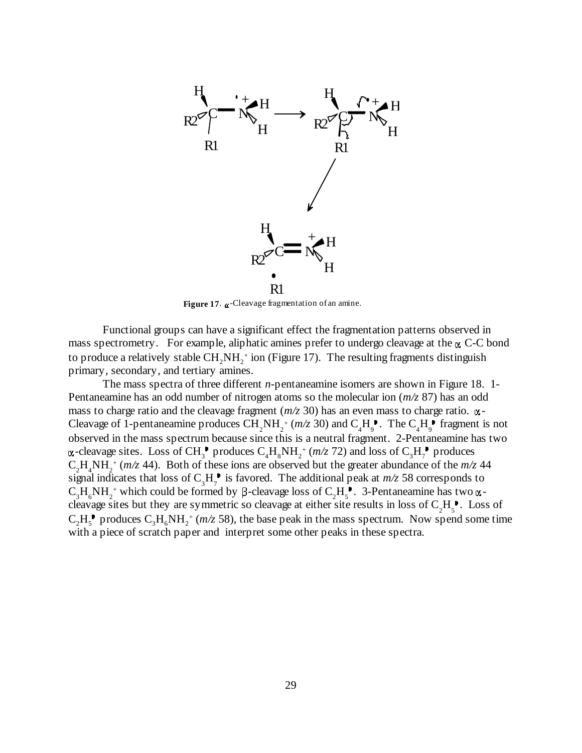

Figure 17. -Cleavage fragmentation of an amine.

Functional groups can have a significant effect the fragmentation patterns observed in mass spectrometry. For example, aliphatic amines prefer to undergo cleavage at the  $\alpha$  C-C bond to produce a relatively stable  $\text{CH}_2\text{NH}_2^+$  ion (Figure 17). The resulting fragments distinguish primary, secondary, and tertiary amines.

The mass spectra of three different *n*-pentaneamine isomers are shown in Figure 18. 1- Pentaneamine has an odd number of nitrogen atoms so the molecular ion (*m/z* 87) has an odd mass to charge ratio and the cleavage fragment  $(m/z 30)$  has an even mass to charge ratio.  $\alpha$ -Cleavage of 1-pentaneamine produces  $\widetilde{CH}_2NH_2^+(m/z\ 30)$  and  $C_4H_9^+$ . The  $C_4H_9^+$  fragment is not observed in the mass spectrum because since this is a neutral fragment. 2-Pentaneamine has two  $\alpha$ -cleavage sites. Loss of CH<sub>3</sub><sup>+</sup> produces  $C_4H_8NH_2^+(m/z)$  and loss of  $C_3H_7^+$  produces  $C_2H_4NH_2^+$  ( $m/z$  44). Both of these ions are observed but the greater abundance of the  $m/z$  44 signal indicates that loss of  $C_3H_7$  is favored. The additional peak at  $m/z$  58 corresponds to  $C_3H_6NH_2^+$  which could be formed by  $\beta$ -cleavage loss of  $C_2H_5^+$ . 3-Pentaneamine has two  $\alpha$ cleavage sites but they are symmetric so cleavage at either site results in loss of  $C_2H_5$ . Loss of  $C_2H_5^{\bullet}$  produces  $C_3H_6NH_2^+(m/z)$  58), the base peak in the mass spectrum. Now spend some time with a piece of scratch paper and interpret some other peaks in these spectra.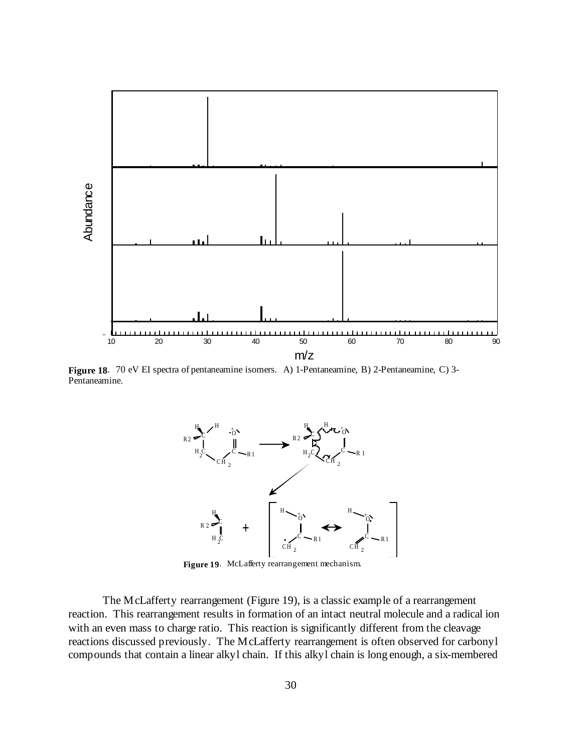

**Figure 18**. 70 eV EI spectra of pentaneamine isomers. A) 1-Pentaneamine, B) 2-Pentaneamine, C) 3- Pentaneamine.



**Figure 19**. McLafferty rearrangement mechanism.

The McLafferty rearrangement (Figure 19), is a classic example of a rearrangement reaction. This rearrangement results in formation of an intact neutral molecule and a radical ion with an even mass to charge ratio. This reaction is significantly different from the cleavage reactions discussed previously. The McLafferty rearrangement is often observed for carbonyl compounds that contain a linear alkyl chain. If this alkyl chain is long enough, a six-membered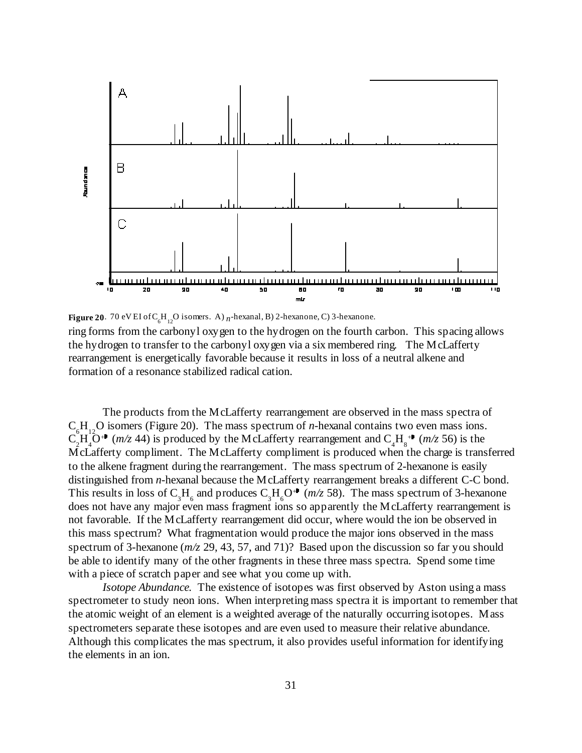

**Figure 20**. 70 eV EI of C<sub>6</sub>H<sub>12</sub>O isomers. A)  $n$ -hexanal, B) 2-hexanone, C) 3-hexanone.

ring forms from the carbonyl oxygen to the hydrogen on the fourth carbon. This spacing allows the hydrogen to transfer to the carbonyl oxygen via a six membered ring. The McLafferty rearrangement is energetically favorable because it results in loss of a neutral alkene and formation of a resonance stabilized radical cation.

The products from the McLafferty rearrangement are observed in the mass spectra of C<sub>.</sub>H<sub>no</sub>O isomers (Figure 20). The mass spectrum of *n*-hexanal contains two even mass ions.  $C_2^{\circ}H_4^{\circ}O^+$  (*m/z* 44) is produced by the McLafferty rearrangement and  $C_4H_8^+$  (*m/z* 56) is the McLafferty compliment. The McLafferty compliment is produced when the charge is transferred to the alkene fragment during the rearrangement. The mass spectrum of 2-hexanone is easily distinguished from *n*-hexanal because the McLafferty rearrangement breaks a different C-C bond. This results in loss of  $C_3H_6$  and produces  $C_3H_6O^+$  ( $m/z$  58). The mass spectrum of 3-hexanone does not have any major even mass fragment ions so apparently the McLafferty rearrangement is not favorable. If the McLafferty rearrangement did occur, where would the ion be observed in this mass spectrum? What fragmentation would produce the major ions observed in the mass spectrum of 3-hexanone (*m/z* 29, 43, 57, and 71)? Based upon the discussion so far you should be able to identify many of the other fragments in these three mass spectra. Spend some time with a piece of scratch paper and see what you come up with.

*Isotope Abundance.* The existence of isotopes was first observed by Aston using a mass spectrometer to study neon ions. When interpreting mass spectra it is important to remember that the atomic weight of an element is a weighted average of the naturally occurring isotopes. Mass spectrometers separate these isotopes and are even used to measure their relative abundance. Although this complicates the mas spectrum, it also provides useful information for identifying the elements in an ion.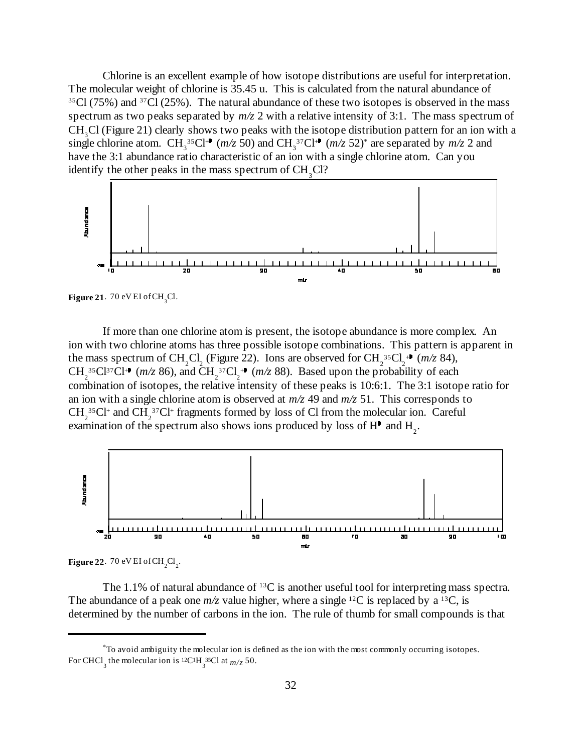Chlorine is an excellent example of how isotope distributions are useful for interpretation. The molecular weight of chlorine is 35.45 u. This is calculated from the natural abundance of  $35Cl$  (75%) and  $37Cl$  (25%). The natural abundance of these two isotopes is observed in the mass spectrum as two peaks separated by *m/z* 2 with a relative intensity of 3:1. The mass spectrum of  $CH<sub>3</sub>Cl$  (Figure 21) clearly shows two peaks with the isotope distribution pattern for an ion with a single chlorine atom. CH<sub>3</sub><sup>35</sup>Cl<sup>++</sup> ( $m/z$  50) and CH<sub>3</sub><sup>37</sup>Cl<sup>++</sup> ( $m/z$  52)<sup>\*</sup> are separated by  $m/z$  2 and have the 3:1 abundance ratio characteristic of an ion with a single chlorine atom. Can you identify the other peaks in the mass spectrum of  $CH<sub>3</sub>Cl$ ?



**Figure 21**. 70 eV EI of CH<sub>2</sub>Cl.

If more than one chlorine atom is present, the isotope abundance is more complex. An ion with two chlorine atoms has three possible isotope combinations. This pattern is apparent in the mass spectrum of CH<sub>2</sub>Cl<sub>2</sub> (Figure 22). Ions are observed for CH<sub>2</sub><sup>35</sup>Cl<sub>2</sub><sup>++</sup> ( $m/z$  84),  $CH_2^{35}Cl^{37}Cl^{+1}$  ( $m/z$  86), and  $CH_2^{37}Cl_2^{+1}$  ( $m/z$  88). Based upon the probability of each combination of isotopes, the relative intensity of these peaks is 10:6:1. The 3:1 isotope ratio for an ion with a single chlorine atom is observed at  $m/z$  49 and  $m/z$  51. This corresponds to CH<sub>2</sub><sup>35</sup>Cl<sup>+</sup> and CH<sub>2</sub><sup>37</sup>Cl<sup>+</sup> fragments formed by loss of Cl from the molecular ion. Careful examination of the spectrum also shows ions produced by loss of  $H<sup>1</sup>$  and  $H<sub>2</sub>$ .



**Figure 22.** 70 eV EI of CH<sub>2</sub>Cl<sub>2</sub>.

The 1.1% of natural abundance of <sup>13</sup>C is another useful tool for interpreting mass spectra. The abundance of a peak one  $m/z$  value higher, where a single <sup>12</sup>C is replaced by a <sup>13</sup>C, is determined by the number of carbons in the ion. The rule of thumb for small compounds is that

 $*$  To avoid ambiguity the molecular ion is defined as the ion with the most commonly occurring isotopes. For CHCl<sub>3</sub> the molecular ion is <sup>12</sup>C<sup>1</sup>H<sub>3</sub><sup>35</sup>Cl at  $m/z$  50.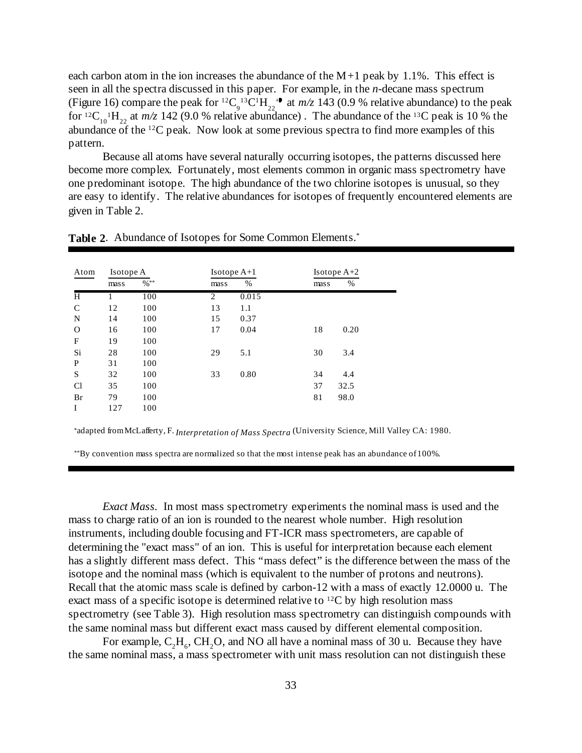each carbon atom in the ion increases the abundance of the  $M+1$  peak by 1.1%. This effect is seen in all the spectra discussed in this paper. For example, in the *n*-decane mass spectrum (Figure 16) compare the peak for <sup>12</sup>C<sub>9</sub><sup>13</sup>C<sup>1</sup>H<sub>22</sub><sup>+•</sup> at *m/z* 143 (0.9 % relative abundance) to the peak for <sup>12</sup>C<sub>10</sub><sup>1</sup>H<sub>22</sub> at *m/z* 142 (9.0 % relative abundance). The abundance of the <sup>13</sup>C peak is 10 % the abundance of the <sup>12</sup>C peak. Now look at some previous spectra to find more examples of this pattern.

Because all atoms have several naturally occurring isotopes, the patterns discussed here become more complex. Fortunately, most elements common in organic mass spectrometry have one predominant isotope. The high abundance of the two chlorine isotopes is unusual, so they are easy to identify. The relative abundances for isotopes of frequently encountered elements are given in Table 2.

| Atom          | Isotope A |         | $Isotope A+1$  |       | Isotope $A+2$ |      |
|---------------|-----------|---------|----------------|-------|---------------|------|
|               | mass      | $\%$ ** | mass           | $\%$  | mass          | %    |
| H             |           | 100     | $\overline{2}$ | 0.015 |               |      |
| $\mathcal{C}$ | 12        | 100     | 13             | 1.1   |               |      |
| N             | 14        | 100     | 15             | 0.37  |               |      |
| $\Omega$      | 16        | 100     | 17             | 0.04  | 18            | 0.20 |
| F             | 19        | 100     |                |       |               |      |
| Si            | 28        | 100     | 29             | 5.1   | 30            | 3.4  |
| P             | 31        | 100     |                |       |               |      |
| S             | 32        | 100     | 33             | 0.80  | 34            | 4.4  |
| <b>Cl</b>     | 35        | 100     |                |       | 37            | 32.5 |
| Br            | 79        | 100     |                |       | 81            | 98.0 |
| I             | 127       | 100     |                |       |               |      |

**Table 2**. Abundance of Isotopes for Some Common Elements.\*

\*adapted from McLafferty, F. *Interpretation of Mass Spectra* (University Science, Mill Valley CA: 1980.

 $*$ By convention mass spectra are normalized so that the most intense peak has an abundance of 100%.

*Exact Mass.* In most mass spectrometry experiments the nominal mass is used and the mass to charge ratio of an ion is rounded to the nearest whole number. High resolution instruments, including double focusing and FT-ICR mass spectrometers, are capable of determining the "exact mass" of an ion. This is useful for interpretation because each element has a slightly different mass defect. This "mass defect" is the difference between the mass of the isotope and the nominal mass (which is equivalent to the number of protons and neutrons). Recall that the atomic mass scale is defined by carbon-12 with a mass of exactly 12.0000 u. The exact mass of a specific isotope is determined relative to <sup>12</sup>C by high resolution mass spectrometry (see Table 3). High resolution mass spectrometry can distinguish compounds with the same nominal mass but different exact mass caused by different elemental composition.

For example,  $C_2H_6$ , CH<sub>2</sub>O, and NO all have a nominal mass of 30 u. Because they have the same nominal mass, a mass spectrometer with unit mass resolution can not distinguish these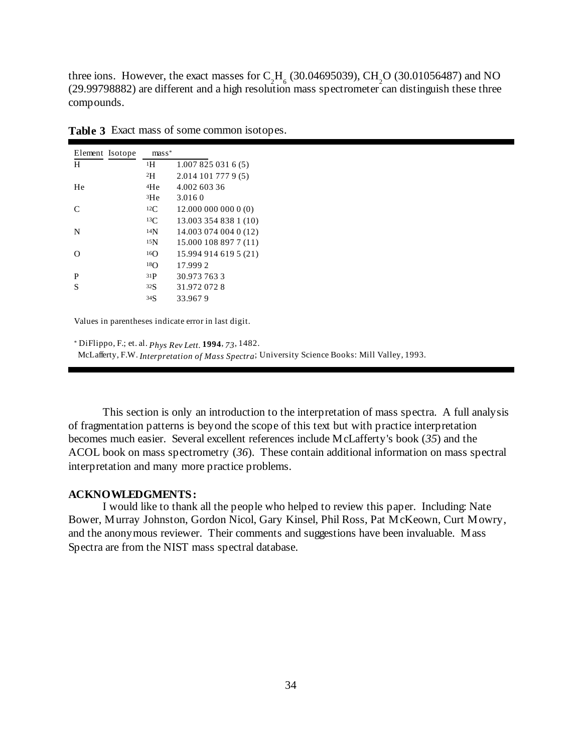three ions. However, the exact masses for  $C_2H_6$  (30.04695039), CH<sub>2</sub>O (30.01056487) and NO (29.99798882) are different and a high resolution mass spectrometer can distinguish these three compounds.

| Element Isotope | ${\rm mas\,s^*}$ |                       |
|-----------------|------------------|-----------------------|
| H               | 1Η               | 1.0078250316(5)       |
|                 | 2H               | $2.014$ 101 777 9 (5) |
| He              | <sup>4</sup> He  | 4.002 603 36          |
|                 | <sup>3</sup> He  | 3.016.0               |
| $\subset$       | 12C              | 12.000 000 000 0 (0)  |
|                 | 13C              | 13.003 354 838 1 (10) |
| N               | 14 <sub>N</sub>  | 14.003 074 004 0 (12) |
|                 | 15 <sub>N</sub>  | 15.000 108 897 7 (11) |
| $\mathfrak{g}$  | 16()             | 15.994 914 619 5 (21) |
|                 | 18 <sub>O</sub>  | 17.9992               |
| P               | 31P              | 30.973 763 3          |
| S               | 32S              | 31.972 072 8          |
|                 | 34S              | 33.967.9              |

**Table 3** Exact mass of some common isotopes.

Values in parentheses indicate error in last digit.

DiFlippo, F.; et. al. *Phys Rev Lett.* **1994**, *73*, 1482. \* McLafferty, F.W. *Interpretation of Mass Spectra*; University Science Books: Mill Valley, 1993.

This section is only an introduction to the interpretation of mass spectra. A full analysis of fragmentation patterns is beyond the scope of this text but with practice interpretation becomes much easier. Several excellent references include McLafferty's book (*35*) and the ACOL book on mass spectrometry (*36*). These contain additional information on mass spectral interpretation and many more practice problems.

#### **ACKNOWLEDGMENTS:**

I would like to thank all the people who helped to review this paper. Including: Nate Bower, Murray Johnston, Gordon Nicol, Gary Kinsel, Phil Ross, Pat McKeown, Curt Mowry, and the anonymous reviewer. Their comments and suggestions have been invaluable. Mass Spectra are from the NIST mass spectral database.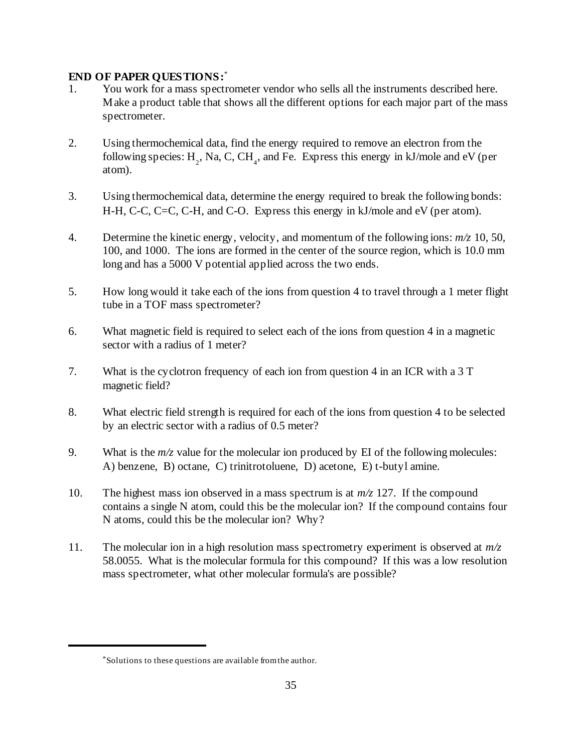# **END OF PAPER QUESTIONS:**\*

- 1. You work for a mass spectrometer vendor who sells all the instruments described here. Make a product table that shows all the different options for each major part of the mass spectrometer.
- 2. Using thermochemical data, find the energy required to remove an electron from the following species:  $H_2$ , Na, C, CH<sub>a</sub>, and Fe. Express this energy in kJ/mole and eV (per atom).
- 3. Using thermochemical data, determine the energy required to break the following bonds: H-H, C-C, C=C, C-H, and C-O. Express this energy in kJ/mole and eV (per atom).
- 4. Determine the kinetic energy, velocity, and momentum of the following ions: *m/z* 10, 50, 100, and 1000. The ions are formed in the center of the source region, which is 10.0 mm long and has a 5000 V potential applied across the two ends.
- 5. How long would it take each of the ions from question 4 to travel through a 1 meter flight tube in a TOF mass spectrometer?
- 6. What magnetic field is required to select each of the ions from question 4 in a magnetic sector with a radius of 1 meter?
- 7. What is the cyclotron frequency of each ion from question 4 in an ICR with a 3 T magnetic field?
- 8. What electric field strength is required for each of the ions from question 4 to be selected by an electric sector with a radius of 0.5 meter?
- 9. What is the *m/z* value for the molecular ion produced by EI of the following molecules: A) benzene, B) octane, C) trinitrotoluene, D) acetone, E) t-butyl amine.
- 10. The highest mass ion observed in a mass spectrum is at *m/z* 127. If the compound contains a single N atom, could this be the molecular ion? If the compound contains four N atoms, could this be the molecular ion? Why?
- 11. The molecular ion in a high resolution mass spectrometry experiment is observed at *m/z* 58.0055. What is the molecular formula for this compound? If this was a low resolution mass spectrometer, what other molecular formula's are possible?

Solutions to these questions are available from the author. \*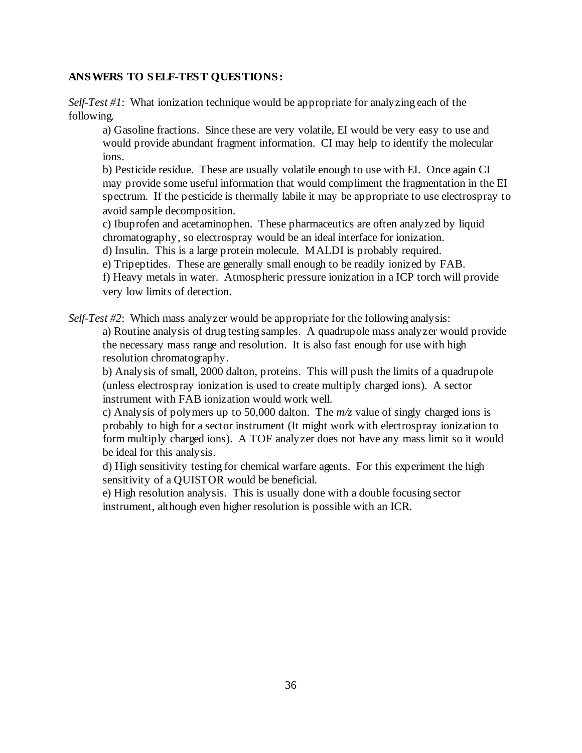# **ANSWERS TO SELF-TEST QUESTIONS:**

*Self-Test #1*: What ionization technique would be appropriate for analyzing each of the following.

a) Gasoline fractions. Since these are very volatile, EI would be very easy to use and would provide abundant fragment information. CI may help to identify the molecular ions.

b) Pesticide residue. These are usually volatile enough to use with EI. Once again CI may provide some useful information that would compliment the fragmentation in the EI spectrum. If the pesticide is thermally labile it may be appropriate to use electrospray to avoid sample decomposition.

c) Ibuprofen and acetaminophen. These pharmaceutics are often analyzed by liquid chromatography, so electrospray would be an ideal interface for ionization.

d) Insulin. This is a large protein molecule. MALDI is probably required.

e) Tripeptides. These are generally small enough to be readily ionized by FAB.

f) Heavy metals in water. Atmospheric pressure ionization in a ICP torch will provide very low limits of detection.

*Self-Test #2*: Which mass analyzer would be appropriate for the following analysis:

a) Routine analysis of drug testing samples. A quadrupole mass analyzer would provide the necessary mass range and resolution. It is also fast enough for use with high resolution chromatography.

b) Analysis of small, 2000 dalton, proteins. This will push the limits of a quadrupole (unless electrospray ionization is used to create multiply charged ions). A sector instrument with FAB ionization would work well.

c) Analysis of polymers up to 50,000 dalton. The  $m/z$  value of singly charged ions is probably to high for a sector instrument (It might work with electrospray ionization to form multiply charged ions). A TOF analyzer does not have any mass limit so it would be ideal for this analysis.

d) High sensitivity testing for chemical warfare agents. For this experiment the high sensitivity of a QUISTOR would be beneficial.

e) High resolution analysis. This is usually done with a double focusing sector instrument, although even higher resolution is possible with an ICR.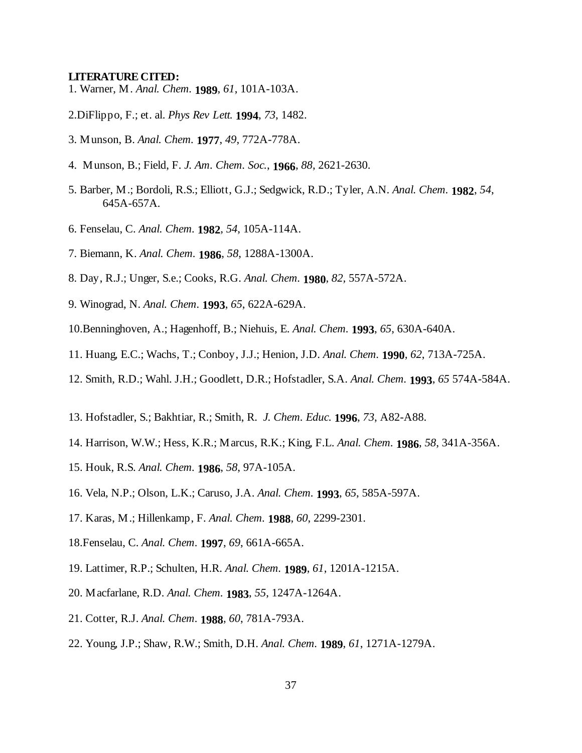#### **LITERATURE CITED:**

- 1. Warner, M. *Anal. Chem.* **1989**, *61*, 101A-103A.
- 2.DiFlippo, F.; et. al. *Phys Rev Lett.* **1994**, *73*, 1482.
- 3. Munson, B. *Anal. Chem.* **1977**, *49*, 772A-778A.
- 4. Munson, B.; Field, F. *J. Am. Chem. Soc.*, **1966**, *88*, 2621-2630.
- 5. Barber, M.; Bordoli, R.S.; Elliott, G.J.; Sedgwick, R.D.; Tyler, A.N. *Anal. Chem.* **1982**, *54*, 645A-657A*.*
- 6. Fenselau, C. *Anal. Chem.* **1982**, *54*, 105A-114A.
- 7. Biemann, K. *Anal. Chem.* **1986**, *58*, 1288A-1300A.
- 8. Day, R.J.; Unger, S.e.; Cooks, R.G. *Anal. Chem.* **1980**, *82,* 557A-572A.
- 9. Winograd, N. *Anal. Chem.* **1993**, *65*, 622A-629A.
- 10. Benninghoven, A.; Hagenhoff, B.; Niehuis, E. *Anal. Chem.* **1993**, *65*, 630A-640A.
- 11. Huang, E.C.; Wachs, T.; Conboy, J.J.; Henion, J.D. *Anal. Chem.* **1990**, *62*, 713A-725A.
- 12. Smith, R.D.; Wahl. J.H.; Goodlett, D.R.; Hofstadler, S.A. *Anal. Chem.* **1993**, *65* 574A-584A.
- 13. Hofstadler, S.; Bakhtiar, R.; Smith, R. *J. Chem. Educ.* **1996**, *73*, A82-A88.
- 14. Harrison, W.W.; Hess, K.R.; Marcus, R.K.; King, F.L. *Anal. Chem.* **1986**, *58*, 341A-356A.
- 15. Houk, R.S. *Anal. Chem.* **1986**, *58*, 97A-105A.
- 16. Vela, N.P.; Olson, L.K.; Caruso, J.A. *Anal. Chem.* **1993**, *65*, 585A-597A.
- 17. Karas, M.; Hillenkamp, F. *Anal. Chem.* **1988**, *60*, 2299-2301.
- 18.Fenselau, C. *Anal. Chem.* **1997**, *69*, 661A-665A.
- 19. Lattimer, R.P.; Schulten, H.R. *Anal. Chem.* **1989**, *61*, 1201A-1215A.
- 20. Macfarlane, R.D. *Anal. Chem.* **1983**, *55*, 1247A-1264A.
- 21. Cotter, R.J. *Anal. Chem.* **1988**, *60*, 781A-793A.
- 22. Young, J.P.; Shaw, R.W.; Smith, D.H. *Anal. Chem.* **1989**, *61*, 1271A-1279A.